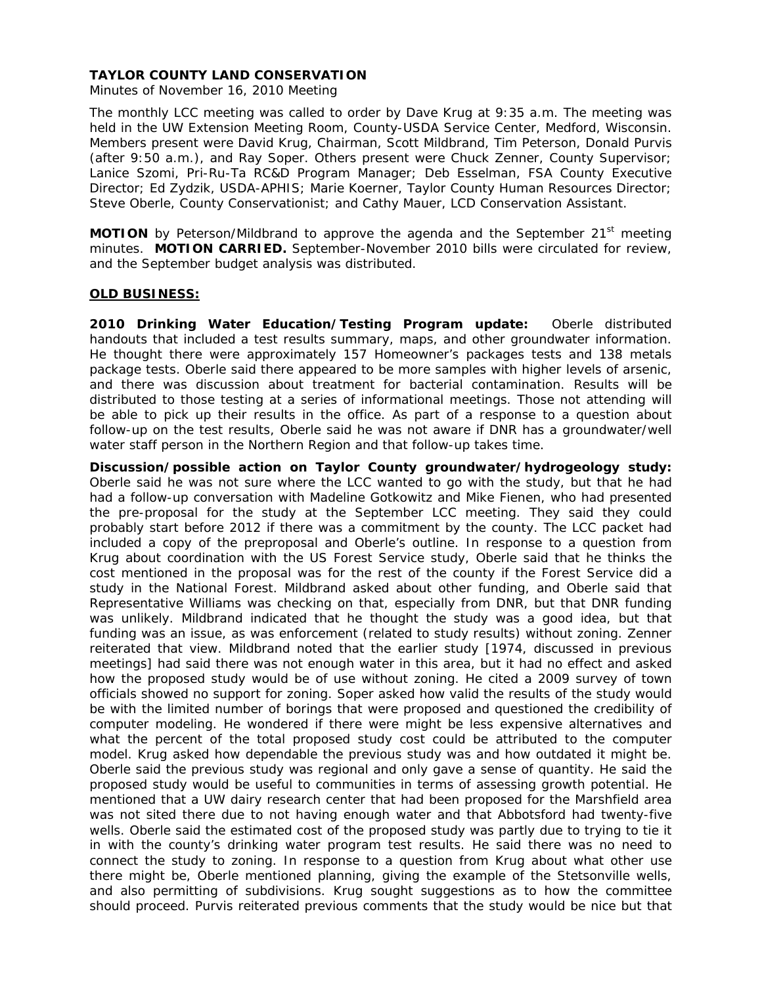Minutes of November 16, 2010 Meeting

The monthly LCC meeting was called to order by Dave Krug at 9:35 a.m. The meeting was held in the UW Extension Meeting Room, County-USDA Service Center, Medford, Wisconsin. Members present were David Krug, Chairman, Scott Mildbrand, Tim Peterson, Donald Purvis (after 9:50 a.m.), and Ray Soper. Others present were Chuck Zenner, County Supervisor; Lanice Szomi, Pri-Ru-Ta RC&D Program Manager; Deb Esselman, FSA County Executive Director; Ed Zydzik, USDA-APHIS; Marie Koerner, Taylor County Human Resources Director; Steve Oberle, County Conservationist; and Cathy Mauer, LCD Conservation Assistant.

**MOTION** by Peterson/Mildbrand to approve the agenda and the September 21<sup>st</sup> meeting minutes. **MOTION CARRIED.** September-November 2010 bills were circulated for review, and the September budget analysis was distributed.

## **OLD BUSINESS:**

**2010 Drinking Water Education/Testing Program update:** Oberle distributed handouts that included a test results summary, maps, and other groundwater information. He thought there were approximately 157 Homeowner's packages tests and 138 metals package tests. Oberle said there appeared to be more samples with higher levels of arsenic, and there was discussion about treatment for bacterial contamination. Results will be distributed to those testing at a series of informational meetings. Those not attending will be able to pick up their results in the office. As part of a response to a question about follow-up on the test results, Oberle said he was not aware if DNR has a groundwater/well water staff person in the Northern Region and that follow-up takes time.

**Discussion/possible action on Taylor County groundwater/hydrogeology study:** Oberle said he was not sure where the LCC wanted to go with the study, but that he had had a follow-up conversation with Madeline Gotkowitz and Mike Fienen, who had presented the pre-proposal for the study at the September LCC meeting. They said they could probably start before 2012 if there was a commitment by the county. The LCC packet had included a copy of the preproposal and Oberle's outline. In response to a question from Krug about coordination with the US Forest Service study, Oberle said that he thinks the cost mentioned in the proposal was for the rest of the county if the Forest Service did a study in the National Forest. Mildbrand asked about other funding, and Oberle said that Representative Williams was checking on that, especially from DNR, but that DNR funding was unlikely. Mildbrand indicated that he thought the study was a good idea, but that funding was an issue, as was enforcement (related to study results) without zoning. Zenner reiterated that view. Mildbrand noted that the earlier study [1974, discussed in previous meetings] had said there was not enough water in this area, but it had no effect and asked how the proposed study would be of use without zoning. He cited a 2009 survey of town officials showed no support for zoning. Soper asked how valid the results of the study would be with the limited number of borings that were proposed and questioned the credibility of computer modeling. He wondered if there were might be less expensive alternatives and what the percent of the total proposed study cost could be attributed to the computer model. Krug asked how dependable the previous study was and how outdated it might be. Oberle said the previous study was regional and only gave a sense of quantity. He said the proposed study would be useful to communities in terms of assessing growth potential. He mentioned that a UW dairy research center that had been proposed for the Marshfield area was not sited there due to not having enough water and that Abbotsford had twenty-five wells. Oberle said the estimated cost of the proposed study was partly due to trying to tie it in with the county's drinking water program test results. He said there was no need to connect the study to zoning. In response to a question from Krug about what other use there might be, Oberle mentioned planning, giving the example of the Stetsonville wells, and also permitting of subdivisions. Krug sought suggestions as to how the committee should proceed. Purvis reiterated previous comments that the study would be nice but that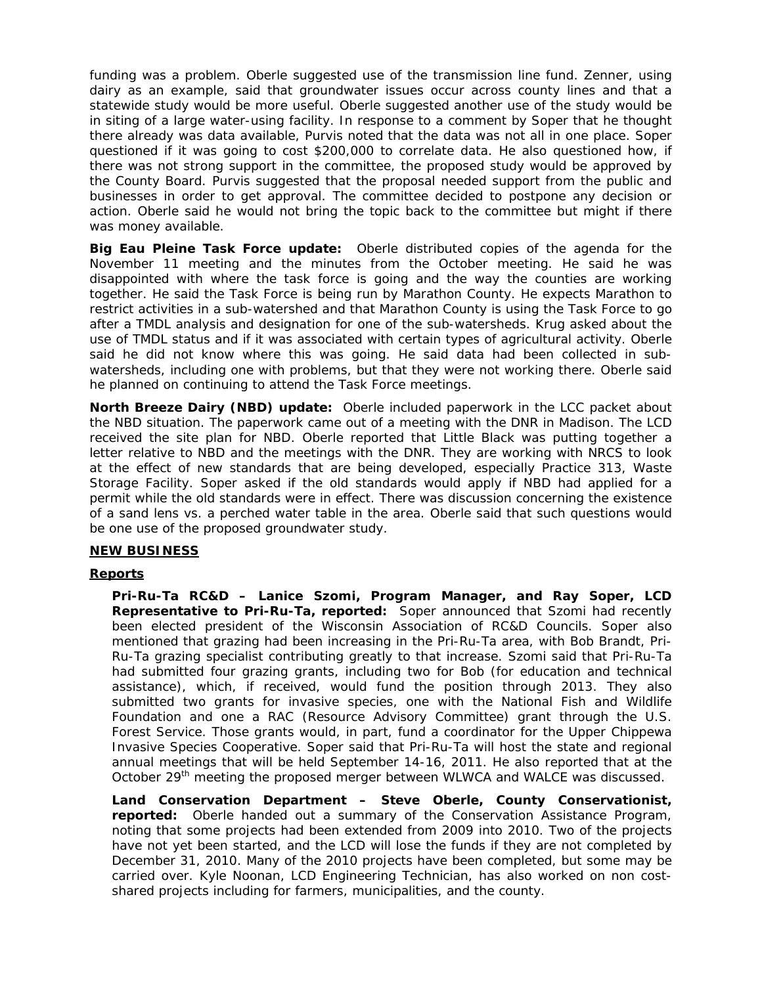funding was a problem. Oberle suggested use of the transmission line fund. Zenner, using dairy as an example, said that groundwater issues occur across county lines and that a statewide study would be more useful. Oberle suggested another use of the study would be in siting of a large water-using facility. In response to a comment by Soper that he thought there already was data available, Purvis noted that the data was not all in one place. Soper questioned if it was going to cost \$200,000 to correlate data. He also questioned how, if there was not strong support in the committee, the proposed study would be approved by the County Board. Purvis suggested that the proposal needed support from the public and businesses in order to get approval. The committee decided to postpone any decision or action. Oberle said he would not bring the topic back to the committee but might if there was money available.

**Big Eau Pleine Task Force update:** Oberle distributed copies of the agenda for the November 11 meeting and the minutes from the October meeting. He said he was disappointed with where the task force is going and the way the counties are working together. He said the Task Force is being run by Marathon County. He expects Marathon to restrict activities in a sub-watershed and that Marathon County is using the Task Force to go after a TMDL analysis and designation for one of the sub-watersheds. Krug asked about the use of TMDL status and if it was associated with certain types of agricultural activity. Oberle said he did not know where this was going. He said data had been collected in subwatersheds, including one with problems, but that they were not working there. Oberle said he planned on continuing to attend the Task Force meetings.

**North Breeze Dairy (NBD) update:** Oberle included paperwork in the LCC packet about the NBD situation. The paperwork came out of a meeting with the DNR in Madison. The LCD received the site plan for NBD. Oberle reported that Little Black was putting together a letter relative to NBD and the meetings with the DNR. They are working with NRCS to look at the effect of new standards that are being developed, especially Practice 313, Waste Storage Facility. Soper asked if the old standards would apply if NBD had applied for a permit while the old standards were in effect. There was discussion concerning the existence of a sand lens vs. a perched water table in the area. Oberle said that such questions would be one use of the proposed groundwater study.

# **NEW BUSINESS**

## **Reports**

**Pri-Ru-Ta RC&D – Lanice Szomi, Program Manager, and Ray Soper, LCD Representative to Pri-Ru-Ta, reported:** Soper announced that Szomi had recently been elected president of the Wisconsin Association of RC&D Councils. Soper also mentioned that grazing had been increasing in the Pri-Ru-Ta area, with Bob Brandt, Pri-Ru-Ta grazing specialist contributing greatly to that increase. Szomi said that Pri-Ru-Ta had submitted four grazing grants, including two for Bob (for education and technical assistance), which, if received, would fund the position through 2013. They also submitted two grants for invasive species, one with the National Fish and Wildlife Foundation and one a RAC (Resource Advisory Committee) grant through the U.S. Forest Service. Those grants would, in part, fund a coordinator for the Upper Chippewa Invasive Species Cooperative. Soper said that Pri-Ru-Ta will host the state and regional annual meetings that will be held September 14-16, 2011. He also reported that at the October 29<sup>th</sup> meeting the proposed merger between WLWCA and WALCE was discussed.

**Land Conservation Department – Steve Oberle, County Conservationist, reported:** Oberle handed out a summary of the Conservation Assistance Program, noting that some projects had been extended from 2009 into 2010. Two of the projects have not yet been started, and the LCD will lose the funds if they are not completed by December 31, 2010. Many of the 2010 projects have been completed, but some may be carried over. Kyle Noonan, LCD Engineering Technician, has also worked on non costshared projects including for farmers, municipalities, and the county.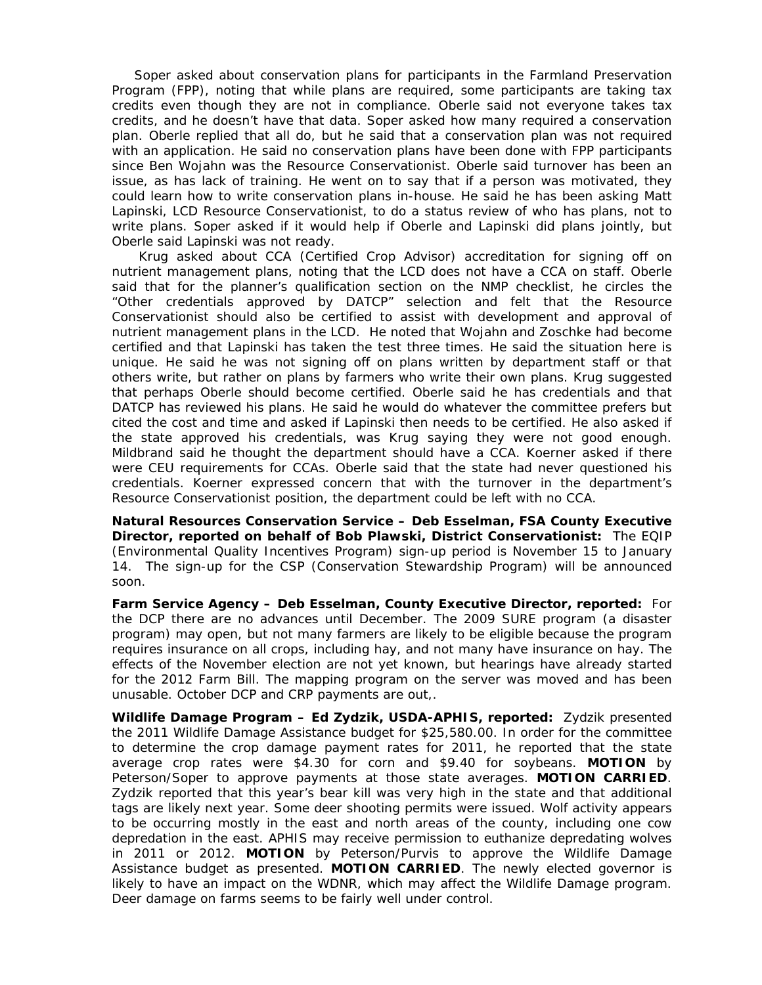Soper asked about conservation plans for participants in the Farmland Preservation Program (FPP), noting that while plans are required, some participants are taking tax credits even though they are not in compliance. Oberle said not everyone takes tax credits, and he doesn't have that data. Soper asked how many required a conservation plan. Oberle replied that all do, but he said that a conservation plan was not required with an application. He said no conservation plans have been done with FPP participants since Ben Wojahn was the Resource Conservationist. Oberle said turnover has been an issue, as has lack of training. He went on to say that if a person was motivated, they could learn how to write conservation plans in-house. He said he has been asking Matt Lapinski, LCD Resource Conservationist, to do a status review of who has plans, not to write plans. Soper asked if it would help if Oberle and Lapinski did plans jointly, but Oberle said Lapinski was not ready.

 Krug asked about CCA (Certified Crop Advisor) accreditation for signing off on nutrient management plans, noting that the LCD does not have a CCA on staff. Oberle said that for the planner's qualification section on the NMP checklist, he circles the "Other credentials approved by DATCP" selection and felt that the Resource Conservationist should also be certified to assist with development and approval of nutrient management plans in the LCD. He noted that Wojahn and Zoschke had become certified and that Lapinski has taken the test three times. He said the situation here is unique. He said he was not signing off on plans written by department staff or that others write, but rather on plans by farmers who write their own plans. Krug suggested that perhaps Oberle should become certified. Oberle said he has credentials and that DATCP has reviewed his plans. He said he would do whatever the committee prefers but cited the cost and time and asked if Lapinski then needs to be certified. He also asked if the state approved his credentials, was Krug saying they were not good enough. Mildbrand said he thought the department should have a CCA. Koerner asked if there were CEU requirements for CCAs. Oberle said that the state had never questioned his credentials. Koerner expressed concern that with the turnover in the department's Resource Conservationist position, the department could be left with no CCA.

**Natural Resources Conservation Service – Deb Esselman, FSA County Executive Director, reported on behalf of Bob Plawski, District Conservationist:** The EQIP (Environmental Quality Incentives Program) sign-up period is November 15 to January 14. The sign-up for the CSP (Conservation Stewardship Program) will be announced soon.

**Farm Service Agency – Deb Esselman, County Executive Director, reported:** For the DCP there are no advances until December. The 2009 SURE program (a disaster program) may open, but not many farmers are likely to be eligible because the program requires insurance on all crops, including hay, and not many have insurance on hay. The effects of the November election are not yet known, but hearings have already started for the 2012 Farm Bill. The mapping program on the server was moved and has been unusable. October DCP and CRP payments are out,.

**Wildlife Damage Program – Ed Zydzik, USDA-APHIS, reported:** Zydzik presented the 2011 Wildlife Damage Assistance budget for \$25,580.00. In order for the committee to determine the crop damage payment rates for 2011, he reported that the state average crop rates were \$4.30 for corn and \$9.40 for soybeans. **MOTION** by Peterson/Soper to approve payments at those state averages. **MOTION CARRIED**. Zydzik reported that this year's bear kill was very high in the state and that additional tags are likely next year. Some deer shooting permits were issued. Wolf activity appears to be occurring mostly in the east and north areas of the county, including one cow depredation in the east. APHIS may receive permission to euthanize depredating wolves in 2011 or 2012. **MOTION** by Peterson/Purvis to approve the Wildlife Damage Assistance budget as presented. **MOTION CARRIED**. The newly elected governor is likely to have an impact on the WDNR, which may affect the Wildlife Damage program. Deer damage on farms seems to be fairly well under control.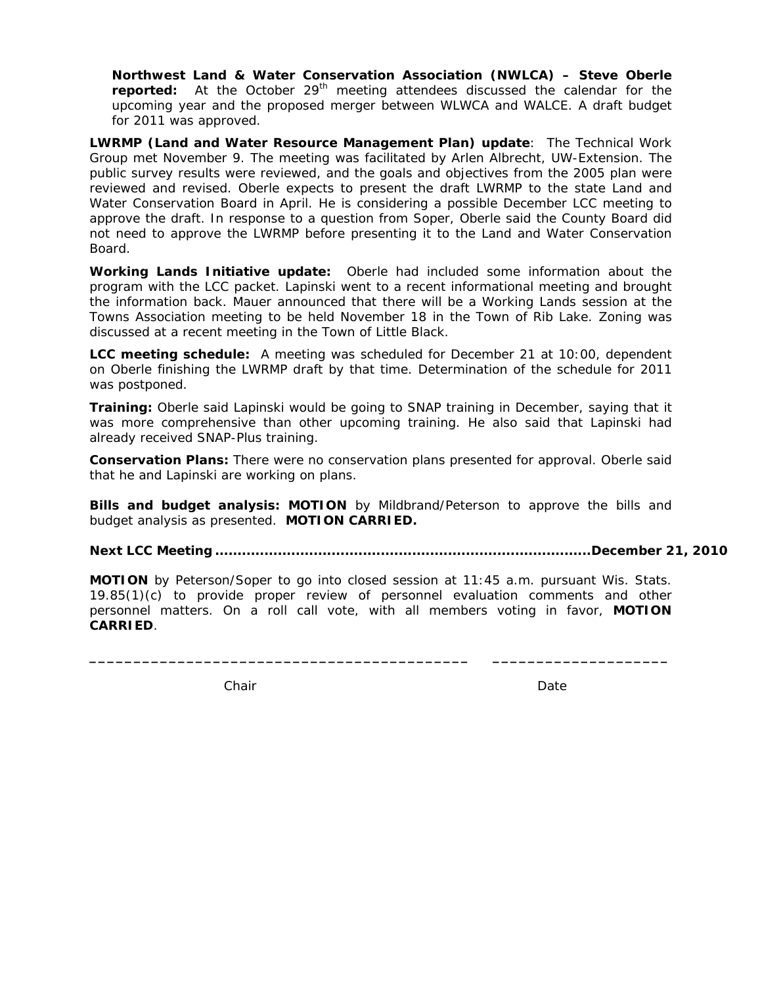**Northwest Land & Water Conservation Association (NWLCA) – Steve Oberle reported:** At the October 29<sup>th</sup> meeting attendees discussed the calendar for the upcoming year and the proposed merger between WLWCA and WALCE. A draft budget for 2011 was approved.

**LWRMP (Land and Water Resource Management Plan) update**: The Technical Work Group met November 9. The meeting was facilitated by Arlen Albrecht, UW-Extension. The public survey results were reviewed, and the goals and objectives from the 2005 plan were reviewed and revised. Oberle expects to present the draft LWRMP to the state Land and Water Conservation Board in April. He is considering a possible December LCC meeting to approve the draft. In response to a question from Soper, Oberle said the County Board did not need to approve the LWRMP before presenting it to the Land and Water Conservation Board.

**Working Lands Initiative update:** Oberle had included some information about the program with the LCC packet. Lapinski went to a recent informational meeting and brought the information back. Mauer announced that there will be a Working Lands session at the Towns Association meeting to be held November 18 in the Town of Rib Lake. Zoning was discussed at a recent meeting in the Town of Little Black.

**LCC meeting schedule:** A meeting was scheduled for December 21 at 10:00, dependent on Oberle finishing the LWRMP draft by that time. Determination of the schedule for 2011 was postponed.

**Training:** Oberle said Lapinski would be going to SNAP training in December, saying that it was more comprehensive than other upcoming training. He also said that Lapinski had already received SNAP-Plus training.

**Conservation Plans:** There were no conservation plans presented for approval. Oberle said that he and Lapinski are working on plans.

**Bills and budget analysis: MOTION** by Mildbrand/Peterson to approve the bills and budget analysis as presented. **MOTION CARRIED.**

**Next LCC Meeting .................................................................................... December 21, 2010** 

**MOTION** by Peterson/Soper to go into closed session at 11:45 a.m. pursuant Wis. Stats. 19.85(1)(c) to provide proper review of personnel evaluation comments and other personnel matters. On a roll call vote, with all members voting in favor, **MOTION CARRIED**.

**\_\_\_\_\_\_\_\_\_\_\_\_\_\_\_\_\_\_\_\_\_\_\_\_\_\_\_\_\_\_\_\_\_\_\_\_\_\_\_\_\_\_\_ \_\_\_\_\_\_\_\_\_\_\_\_\_\_\_\_\_\_\_\_** 

Chair **Date** Date **Date** Date **Date**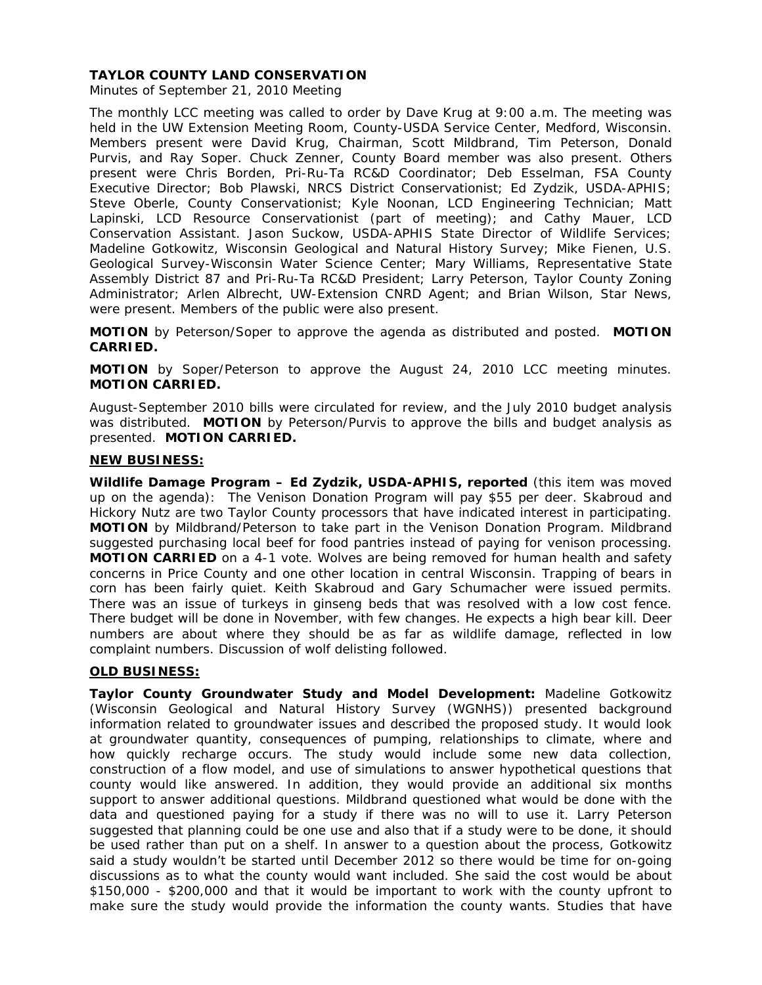Minutes of September 21, 2010 Meeting

The monthly LCC meeting was called to order by Dave Krug at 9:00 a.m. The meeting was held in the UW Extension Meeting Room, County-USDA Service Center, Medford, Wisconsin. Members present were David Krug, Chairman, Scott Mildbrand, Tim Peterson, Donald Purvis, and Ray Soper. Chuck Zenner, County Board member was also present. Others present were Chris Borden, Pri-Ru-Ta RC&D Coordinator; Deb Esselman, FSA County Executive Director; Bob Plawski, NRCS District Conservationist; Ed Zydzik, USDA-APHIS; Steve Oberle, County Conservationist; Kyle Noonan, LCD Engineering Technician; Matt Lapinski, LCD Resource Conservationist (part of meeting); and Cathy Mauer, LCD Conservation Assistant. Jason Suckow, USDA-APHIS State Director of Wildlife Services; Madeline Gotkowitz, Wisconsin Geological and Natural History Survey; Mike Fienen, U.S. Geological Survey-Wisconsin Water Science Center; Mary Williams, Representative State Assembly District 87 and Pri-Ru-Ta RC&D President; Larry Peterson, Taylor County Zoning Administrator; Arlen Albrecht, UW-Extension CNRD Agent; and Brian Wilson, *Star News*, were present. Members of the public were also present.

**MOTION** by Peterson/Soper to approve the agenda as distributed and posted. **MOTION CARRIED.**

**MOTION** by Soper/Peterson to approve the August 24, 2010 LCC meeting minutes. **MOTION CARRIED.** 

August-September 2010 bills were circulated for review, and the July 2010 budget analysis was distributed. **MOTION** by Peterson/Purvis to approve the bills and budget analysis as presented. **MOTION CARRIED.**

## **NEW BUSINESS:**

**Wildlife Damage Program – Ed Zydzik, USDA-APHIS, reported** (this item was moved up on the agenda): The Venison Donation Program will pay \$55 per deer. Skabroud and Hickory Nutz are two Taylor County processors that have indicated interest in participating. **MOTION** by Mildbrand/Peterson to take part in the Venison Donation Program. Mildbrand suggested purchasing local beef for food pantries instead of paying for venison processing. **MOTION CARRIED** on a 4-1 vote. Wolves are being removed for human health and safety concerns in Price County and one other location in central Wisconsin. Trapping of bears in corn has been fairly quiet. Keith Skabroud and Gary Schumacher were issued permits. There was an issue of turkeys in ginseng beds that was resolved with a low cost fence. There budget will be done in November, with few changes. He expects a high bear kill. Deer numbers are about where they should be as far as wildlife damage, reflected in low complaint numbers. Discussion of wolf delisting followed.

## **OLD BUSINESS:**

**Taylor County Groundwater Study and Model Development:** Madeline Gotkowitz (Wisconsin Geological and Natural History Survey (WGNHS)) presented background information related to groundwater issues and described the proposed study. It would look at groundwater quantity, consequences of pumping, relationships to climate, where and how quickly recharge occurs. The study would include some new data collection, construction of a flow model, and use of simulations to answer hypothetical questions that county would like answered. In addition, they would provide an additional six months support to answer additional questions. Mildbrand questioned what would be done with the data and questioned paying for a study if there was no will to use it. Larry Peterson suggested that planning could be one use and also that if a study were to be done, it should be used rather than put on a shelf. In answer to a question about the process, Gotkowitz said a study wouldn't be started until December 2012 so there would be time for on-going discussions as to what the county would want included. She said the cost would be about \$150,000 - \$200,000 and that it would be important to work with the county upfront to make sure the study would provide the information the county wants. Studies that have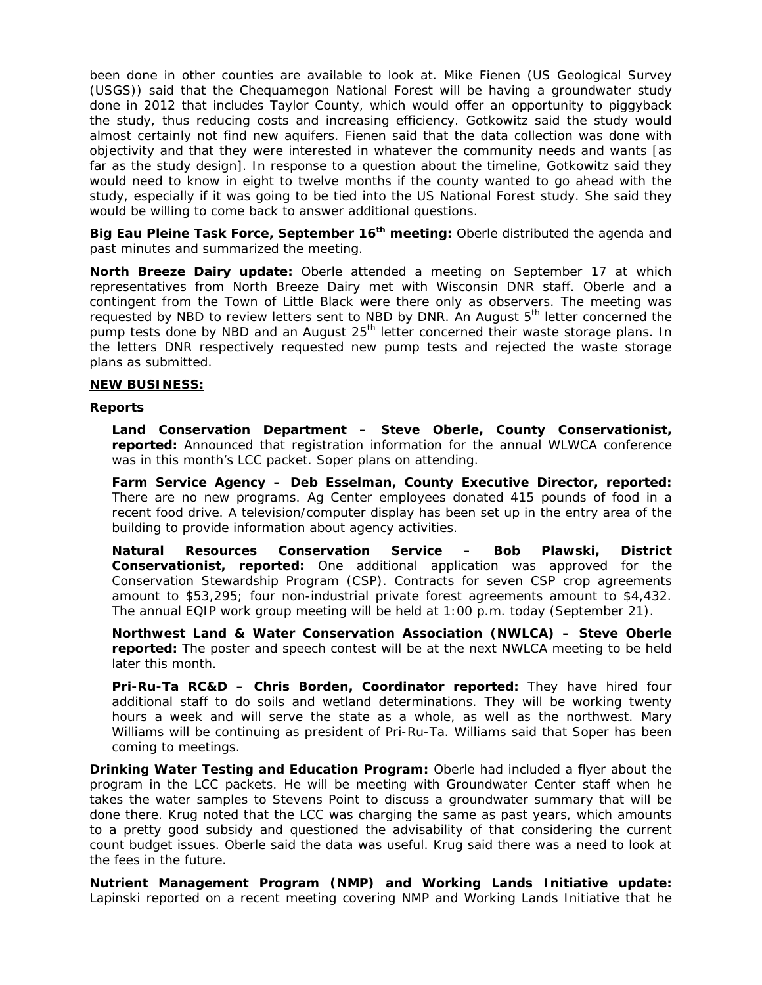been done in other counties are available to look at. Mike Fienen (US Geological Survey (USGS)) said that the Chequamegon National Forest will be having a groundwater study done in 2012 that includes Taylor County, which would offer an opportunity to piggyback the study, thus reducing costs and increasing efficiency. Gotkowitz said the study would almost certainly not find new aquifers. Fienen said that the data collection was done with objectivity and that they were interested in whatever the community needs and wants [as far as the study design]. In response to a question about the timeline, Gotkowitz said they would need to know in eight to twelve months if the county wanted to go ahead with the study, especially if it was going to be tied into the US National Forest study. She said they would be willing to come back to answer additional questions.

**Big Eau Pleine Task Force, September 16th meeting:** Oberle distributed the agenda and past minutes and summarized the meeting.

**North Breeze Dairy update:** Oberle attended a meeting on September 17 at which representatives from North Breeze Dairy met with Wisconsin DNR staff. Oberle and a contingent from the Town of Little Black were there only as observers. The meeting was requested by NBD to review letters sent to NBD by DNR. An August 5<sup>th</sup> letter concerned the pump tests done by NBD and an August  $25<sup>th</sup>$  letter concerned their waste storage plans. In the letters DNR respectively requested new pump tests and rejected the waste storage plans as submitted.

## **NEW BUSINESS:**

## **Reports**

**Land Conservation Department – Steve Oberle, County Conservationist, reported:** Announced that registration information for the annual WLWCA conference was in this month's LCC packet. Soper plans on attending.

**Farm Service Agency – Deb Esselman, County Executive Director, reported:**  There are no new programs. Ag Center employees donated 415 pounds of food in a recent food drive. A television/computer display has been set up in the entry area of the building to provide information about agency activities.

**Natural Resources Conservation Service – Bob Plawski, District Conservationist, reported:** One additional application was approved for the Conservation Stewardship Program (CSP). Contracts for seven CSP crop agreements amount to \$53,295; four non-industrial private forest agreements amount to \$4,432. The annual EQIP work group meeting will be held at 1:00 p.m. today (September 21).

**Northwest Land & Water Conservation Association (NWLCA) – Steve Oberle reported:** The poster and speech contest will be at the next NWLCA meeting to be held later this month.

**Pri-Ru-Ta RC&D – Chris Borden, Coordinator reported:** They have hired four additional staff to do soils and wetland determinations. They will be working twenty hours a week and will serve the state as a whole, as well as the northwest. Mary Williams will be continuing as president of Pri-Ru-Ta. Williams said that Soper has been coming to meetings.

**Drinking Water Testing and Education Program:** Oberle had included a flyer about the program in the LCC packets. He will be meeting with Groundwater Center staff when he takes the water samples to Stevens Point to discuss a groundwater summary that will be done there. Krug noted that the LCC was charging the same as past years, which amounts to a pretty good subsidy and questioned the advisability of that considering the current count budget issues. Oberle said the data was useful. Krug said there was a need to look at the fees in the future.

**Nutrient Management Program (NMP) and Working Lands Initiative update:**  Lapinski reported on a recent meeting covering NMP and Working Lands Initiative that he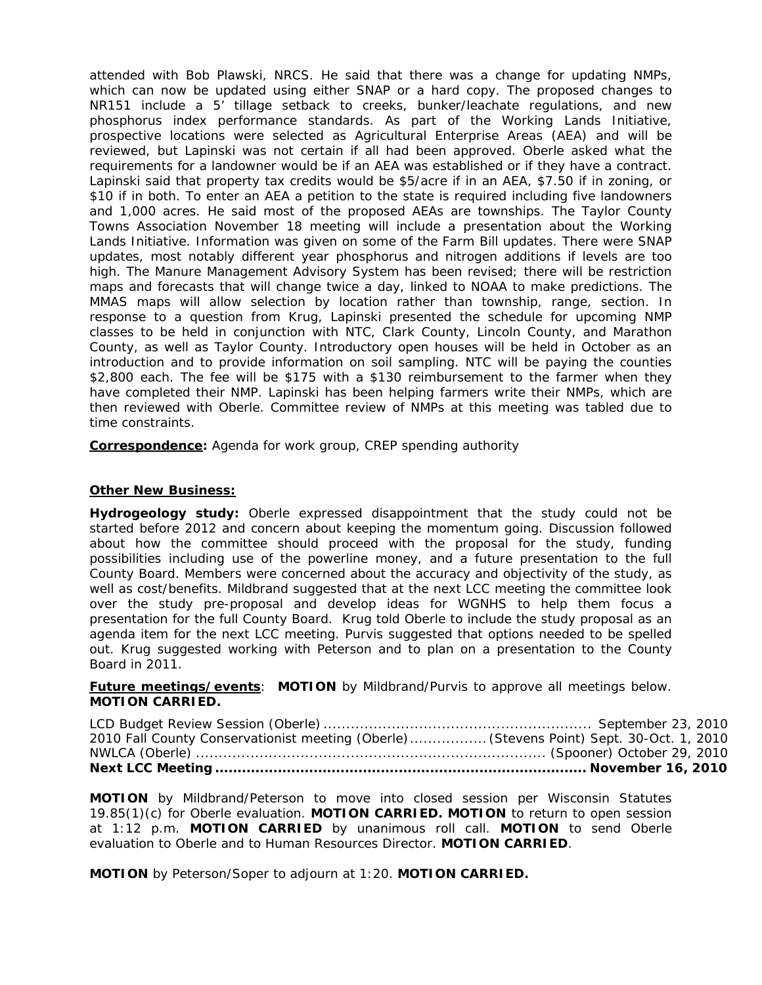attended with Bob Plawski, NRCS. He said that there was a change for updating NMPs, which can now be updated using either SNAP or a hard copy. The proposed changes to NR151 include a 5' tillage setback to creeks, bunker/leachate regulations, and new phosphorus index performance standards. As part of the Working Lands Initiative, prospective locations were selected as Agricultural Enterprise Areas (AEA) and will be reviewed, but Lapinski was not certain if all had been approved. Oberle asked what the requirements for a landowner would be if an AEA was established or if they have a contract. Lapinski said that property tax credits would be \$5/acre if in an AEA, \$7.50 if in zoning, or \$10 if in both. To enter an AEA a petition to the state is required including five landowners and 1,000 acres. He said most of the proposed AEAs are townships. The Taylor County Towns Association November 18 meeting will include a presentation about the Working Lands Initiative. Information was given on some of the Farm Bill updates. There were SNAP updates, most notably different year phosphorus and nitrogen additions if levels are too high. The Manure Management Advisory System has been revised; there will be restriction maps and forecasts that will change twice a day, linked to NOAA to make predictions. The MMAS maps will allow selection by location rather than township, range, section. In response to a question from Krug, Lapinski presented the schedule for upcoming NMP classes to be held in conjunction with NTC, Clark County, Lincoln County, and Marathon County, as well as Taylor County. Introductory open houses will be held in October as an introduction and to provide information on soil sampling. NTC will be paying the counties \$2,800 each. The fee will be \$175 with a \$130 reimbursement to the farmer when they have completed their NMP. Lapinski has been helping farmers write their NMPs, which are then reviewed with Oberle. Committee review of NMPs at this meeting was tabled due to time constraints.

**Correspondence:** Agenda for work group, CREP spending authority

## **Other New Business:**

**Hydrogeology study:** Oberle expressed disappointment that the study could not be started before 2012 and concern about keeping the momentum going. Discussion followed about how the committee should proceed with the proposal for the study, funding possibilities including use of the powerline money, and a future presentation to the full County Board. Members were concerned about the accuracy and objectivity of the study, as well as cost/benefits. Mildbrand suggested that at the next LCC meeting the committee look over the study pre-proposal and develop ideas for WGNHS to help them focus a presentation for the full County Board. Krug told Oberle to include the study proposal as an agenda item for the next LCC meeting. Purvis suggested that options needed to be spelled out. Krug suggested working with Peterson and to plan on a presentation to the County Board in 2011.

**Future meetings/events**: **MOTION** by Mildbrand/Purvis to approve all meetings below. **MOTION CARRIED.** 

| 2010 Fall County Conservationist meeting (Oberle)  (Stevens Point) Sept. 30-Oct. 1, 2010 |  |
|------------------------------------------------------------------------------------------|--|
|                                                                                          |  |
|                                                                                          |  |

**MOTION** by Mildbrand/Peterson to move into closed session per Wisconsin Statutes 19.85(1)(c) for Oberle evaluation. **MOTION CARRIED. MOTION** to return to open session at 1:12 p.m. **MOTION CARRIED** by unanimous roll call. **MOTION** to send Oberle evaluation to Oberle and to Human Resources Director. **MOTION CARRIED**.

**MOTION** by Peterson/Soper to adjourn at 1:20. **MOTION CARRIED.**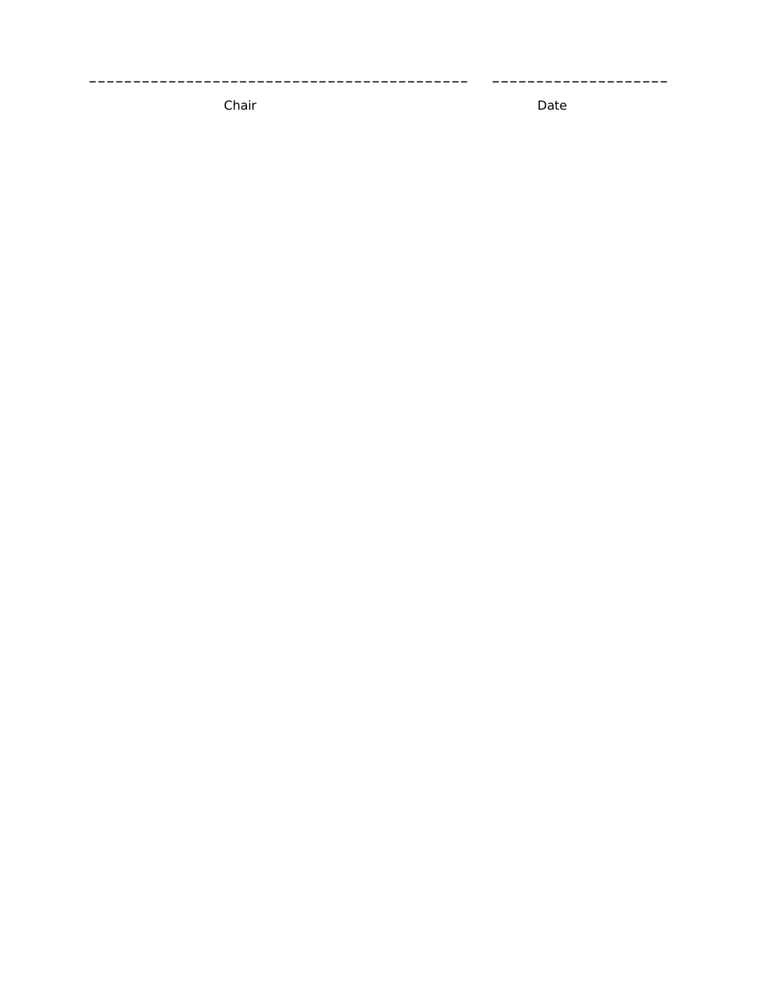Chair

Date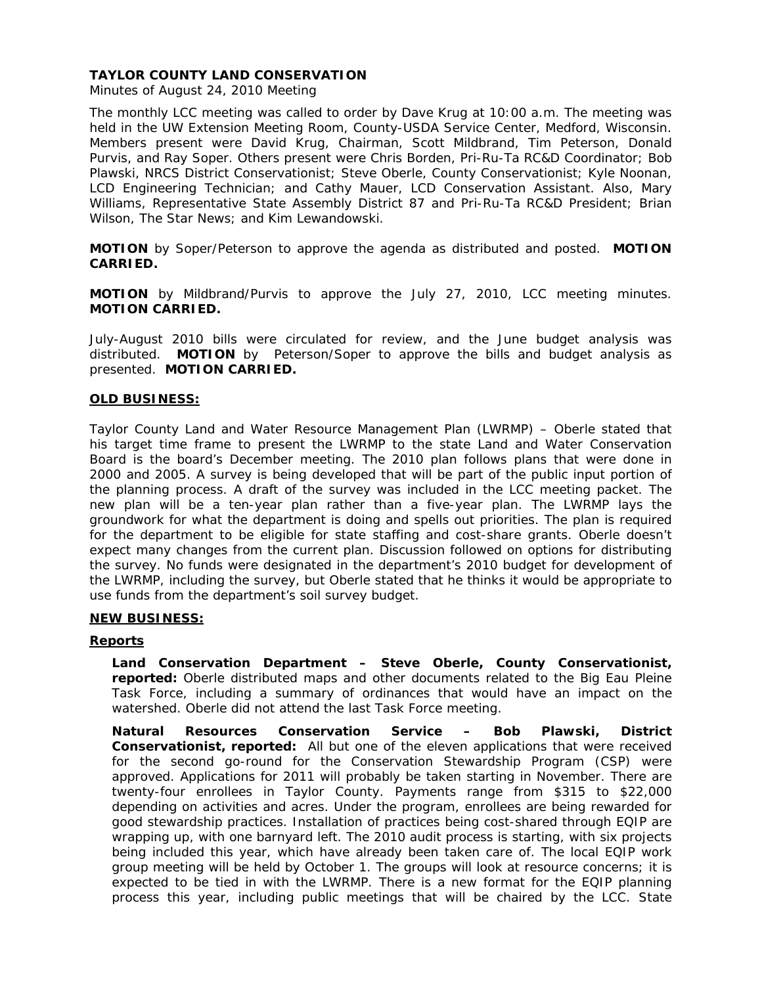Minutes of August 24, 2010 Meeting

The monthly LCC meeting was called to order by Dave Krug at 10:00 a.m. The meeting was held in the UW Extension Meeting Room, County-USDA Service Center, Medford, Wisconsin. Members present were David Krug, Chairman, Scott Mildbrand, Tim Peterson, Donald Purvis, and Ray Soper. Others present were Chris Borden, Pri-Ru-Ta RC&D Coordinator; Bob Plawski, NRCS District Conservationist; Steve Oberle, County Conservationist; Kyle Noonan, LCD Engineering Technician; and Cathy Mauer, LCD Conservation Assistant. Also, Mary Williams, Representative State Assembly District 87 and Pri-Ru-Ta RC&D President; Brian Wilson, *The Star News*; and Kim Lewandowski.

**MOTION** by Soper/Peterson to approve the agenda as distributed and posted. **MOTION CARRIED.**

**MOTION** by Mildbrand/Purvis to approve the July 27, 2010, LCC meeting minutes. **MOTION CARRIED.** 

July-August 2010 bills were circulated for review, and the June budget analysis was distributed. **MOTION** by Peterson/Soper to approve the bills and budget analysis as presented. **MOTION CARRIED.**

## **OLD BUSINESS:**

Taylor County Land and Water Resource Management Plan (LWRMP) – Oberle stated that his target time frame to present the LWRMP to the state Land and Water Conservation Board is the board's December meeting. The 2010 plan follows plans that were done in 2000 and 2005. A survey is being developed that will be part of the public input portion of the planning process. A draft of the survey was included in the LCC meeting packet. The new plan will be a ten-year plan rather than a five-year plan. The LWRMP lays the groundwork for what the department is doing and spells out priorities. The plan is required for the department to be eligible for state staffing and cost-share grants. Oberle doesn't expect many changes from the current plan. Discussion followed on options for distributing the survey. No funds were designated in the department's 2010 budget for development of the LWRMP, including the survey, but Oberle stated that he thinks it would be appropriate to use funds from the department's soil survey budget.

## **NEW BUSINESS:**

## **Reports**

**Land Conservation Department – Steve Oberle, County Conservationist, reported:** Oberle distributed maps and other documents related to the Big Eau Pleine Task Force, including a summary of ordinances that would have an impact on the watershed. Oberle did not attend the last Task Force meeting.

**Natural Resources Conservation Service – Bob Plawski, District Conservationist, reported:** All but one of the eleven applications that were received for the second go-round for the Conservation Stewardship Program (CSP) were approved. Applications for 2011 will probably be taken starting in November. There are twenty-four enrollees in Taylor County. Payments range from \$315 to \$22,000 depending on activities and acres. Under the program, enrollees are being rewarded for good stewardship practices. Installation of practices being cost-shared through EQIP are wrapping up, with one barnyard left. The 2010 audit process is starting, with six projects being included this year, which have already been taken care of. The local EQIP work group meeting will be held by October 1. The groups will look at resource concerns; it is expected to be tied in with the LWRMP. There is a new format for the EQIP planning process this year, including public meetings that will be chaired by the LCC. State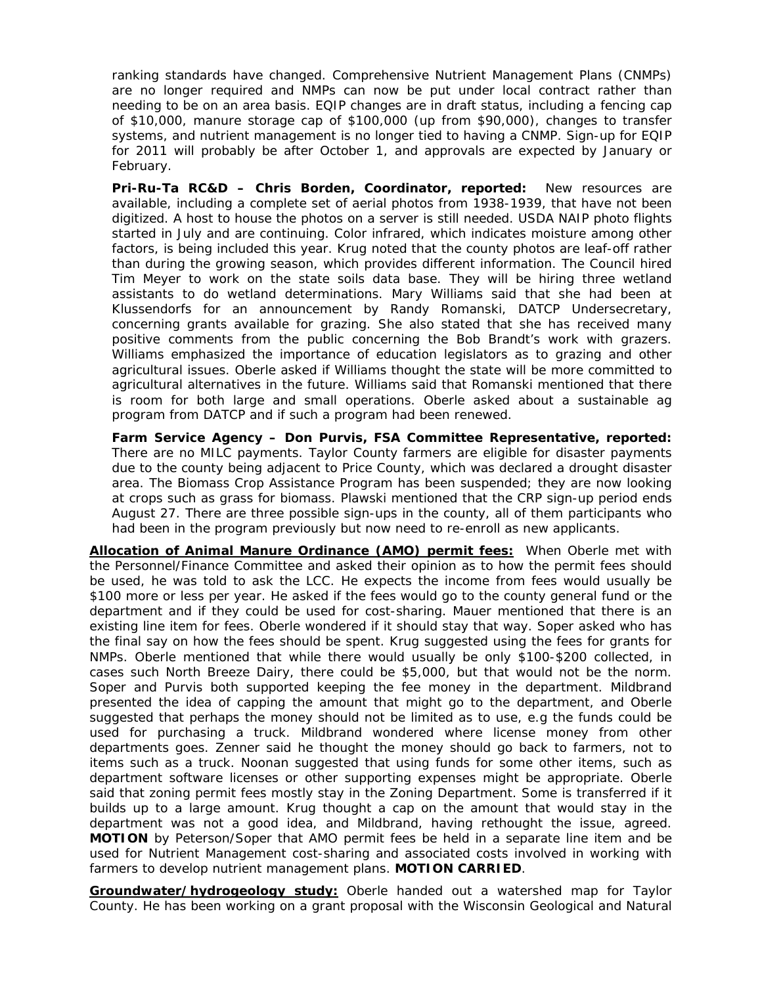ranking standards have changed. Comprehensive Nutrient Management Plans (CNMPs) are no longer required and NMPs can now be put under local contract rather than needing to be on an area basis. EQIP changes are in draft status, including a fencing cap of \$10,000, manure storage cap of \$100,000 (up from \$90,000), changes to transfer systems, and nutrient management is no longer tied to having a CNMP. Sign-up for EQIP for 2011 will probably be after October 1, and approvals are expected by January or February.

**Pri-Ru-Ta RC&D – Chris Borden, Coordinator, reported:** New resources are available, including a complete set of aerial photos from 1938-1939, that have not been digitized. A host to house the photos on a server is still needed. USDA NAIP photo flights started in July and are continuing. Color infrared, which indicates moisture among other factors, is being included this year. Krug noted that the county photos are leaf-off rather than during the growing season, which provides different information. The Council hired Tim Meyer to work on the state soils data base. They will be hiring three wetland assistants to do wetland determinations. Mary Williams said that she had been at Klussendorfs for an announcement by Randy Romanski, DATCP Undersecretary, concerning grants available for grazing. She also stated that she has received many positive comments from the public concerning the Bob Brandt's work with grazers. Williams emphasized the importance of education legislators as to grazing and other agricultural issues. Oberle asked if Williams thought the state will be more committed to agricultural alternatives in the future. Williams said that Romanski mentioned that there is room for both large and small operations. Oberle asked about a sustainable ag program from DATCP and if such a program had been renewed.

**Farm Service Agency – Don Purvis, FSA Committee Representative, reported:** There are no MILC payments. Taylor County farmers are eligible for disaster payments due to the county being adjacent to Price County, which was declared a drought disaster area. The Biomass Crop Assistance Program has been suspended; they are now looking at crops such as grass for biomass. Plawski mentioned that the CRP sign-up period ends August 27. There are three possible sign-ups in the county, all of them participants who had been in the program previously but now need to re-enroll as new applicants.

**Allocation of Animal Manure Ordinance (AMO) permit fees:** When Oberle met with the Personnel/Finance Committee and asked their opinion as to how the permit fees should be used, he was told to ask the LCC. He expects the income from fees would usually be \$100 more or less per year. He asked if the fees would go to the county general fund or the department and if they could be used for cost-sharing. Mauer mentioned that there is an existing line item for fees. Oberle wondered if it should stay that way. Soper asked who has the final say on how the fees should be spent. Krug suggested using the fees for grants for NMPs. Oberle mentioned that while there would usually be only \$100-\$200 collected, in cases such North Breeze Dairy, there could be \$5,000, but that would not be the norm. Soper and Purvis both supported keeping the fee money in the department. Mildbrand presented the idea of capping the amount that might go to the department, and Oberle suggested that perhaps the money should not be limited as to use, e.g the funds could be used for purchasing a truck. Mildbrand wondered where license money from other departments goes. Zenner said he thought the money should go back to farmers, not to items such as a truck. Noonan suggested that using funds for some other items, such as department software licenses or other supporting expenses might be appropriate. Oberle said that zoning permit fees mostly stay in the Zoning Department. Some is transferred if it builds up to a large amount. Krug thought a cap on the amount that would stay in the department was not a good idea, and Mildbrand, having rethought the issue, agreed. **MOTION** by Peterson/Soper that AMO permit fees be held in a separate line item and be used for Nutrient Management cost-sharing and associated costs involved in working with farmers to develop nutrient management plans. **MOTION CARRIED**.

**Groundwater/hydrogeology study:** Oberle handed out a watershed map for Taylor County. He has been working on a grant proposal with the Wisconsin Geological and Natural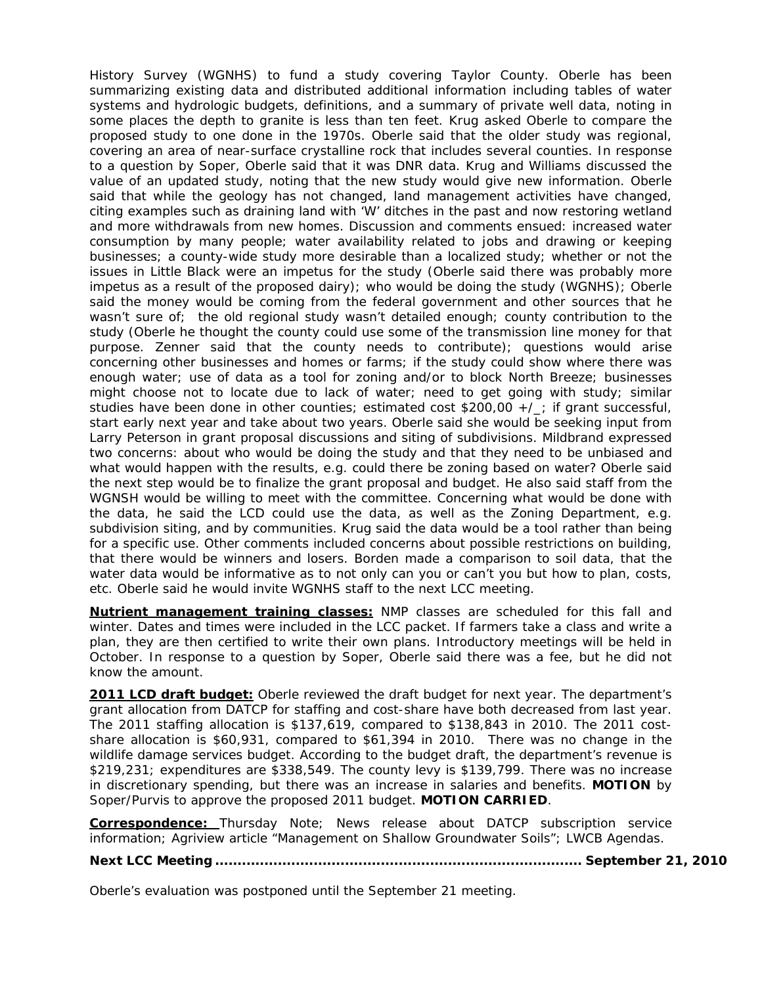History Survey (WGNHS) to fund a study covering Taylor County. Oberle has been summarizing existing data and distributed additional information including tables of water systems and hydrologic budgets, definitions, and a summary of private well data, noting in some places the depth to granite is less than ten feet. Krug asked Oberle to compare the proposed study to one done in the 1970s. Oberle said that the older study was regional, covering an area of near-surface crystalline rock that includes several counties. In response to a question by Soper, Oberle said that it was DNR data. Krug and Williams discussed the value of an updated study, noting that the new study would give new information. Oberle said that while the geology has not changed, land management activities have changed, citing examples such as draining land with 'W' ditches in the past and now restoring wetland and more withdrawals from new homes. Discussion and comments ensued: increased water consumption by many people; water availability related to jobs and drawing or keeping businesses; a county-wide study more desirable than a localized study; whether or not the issues in Little Black were an impetus for the study (Oberle said there was probably more impetus as a result of the proposed dairy); who would be doing the study (WGNHS); Oberle said the money would be coming from the federal government and other sources that he wasn't sure of; the old regional study wasn't detailed enough; county contribution to the study (Oberle he thought the county could use some of the transmission line money for that purpose. Zenner said that the county needs to contribute); questions would arise concerning other businesses and homes or farms; if the study could show where there was enough water; use of data as a tool for zoning and/or to block North Breeze; businesses might choose not to locate due to lack of water; need to get going with study; similar studies have been done in other counties; estimated cost \$200,00 +/\_; if grant successful, start early next year and take about two years. Oberle said she would be seeking input from Larry Peterson in grant proposal discussions and siting of subdivisions. Mildbrand expressed two concerns: about who would be doing the study and that they need to be unbiased and what would happen with the results, e.g. could there be zoning based on water? Oberle said the next step would be to finalize the grant proposal and budget. He also said staff from the WGNSH would be willing to meet with the committee. Concerning what would be done with the data, he said the LCD could use the data, as well as the Zoning Department, e.g. subdivision siting, and by communities. Krug said the data would be a tool rather than being for a specific use. Other comments included concerns about possible restrictions on building, that there would be winners and losers. Borden made a comparison to soil data, that the water data would be informative as to not only can you or can't you but how to plan, costs, etc. Oberle said he would invite WGNHS staff to the next LCC meeting.

**Nutrient management training classes:** NMP classes are scheduled for this fall and winter. Dates and times were included in the LCC packet. If farmers take a class and write a plan, they are then certified to write their own plans. Introductory meetings will be held in October. In response to a question by Soper, Oberle said there was a fee, but he did not know the amount.

**2011 LCD draft budget:** Oberle reviewed the draft budget for next year. The department's grant allocation from DATCP for staffing and cost-share have both decreased from last year. The 2011 staffing allocation is \$137,619, compared to \$138,843 in 2010. The 2011 costshare allocation is \$60,931, compared to \$61,394 in 2010. There was no change in the wildlife damage services budget. According to the budget draft, the department's revenue is \$219,231; expenditures are \$338,549. The county levy is \$139,799. There was no increase in discretionary spending, but there was an increase in salaries and benefits. **MOTION** by Soper/Purvis to approve the proposed 2011 budget. **MOTION CARRIED**.

**Correspondence:** *Thursday Note;* News release about DATCP subscription service information; *Agriview* article "Management on Shallow Groundwater Soils"; LWCB Agendas.

**Next LCC Meeting .................................................................................. September 21, 2010** 

Oberle's evaluation was postponed until the September 21 meeting.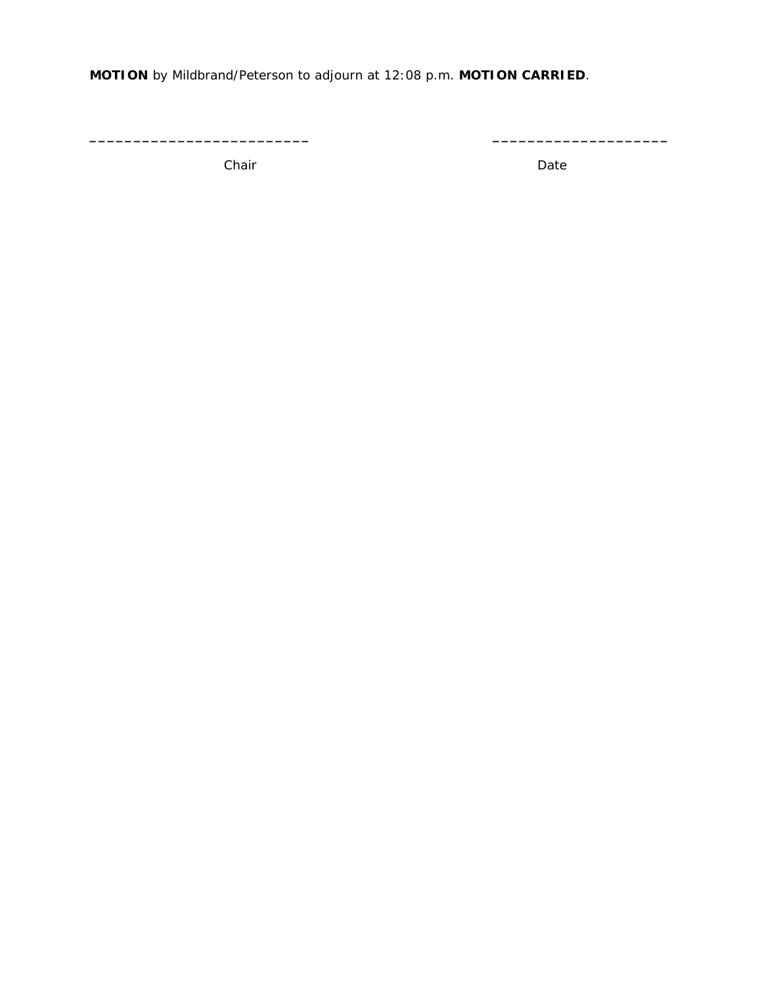**MOTION** by Mildbrand/Peterson to adjourn at 12:08 p.m. **MOTION CARRIED**.

**\_\_\_\_\_\_\_\_\_\_\_\_\_\_\_\_\_\_\_\_\_\_\_\_\_ \_\_\_\_\_\_\_\_\_\_\_\_\_\_\_\_\_\_\_\_** 

Chair **Date**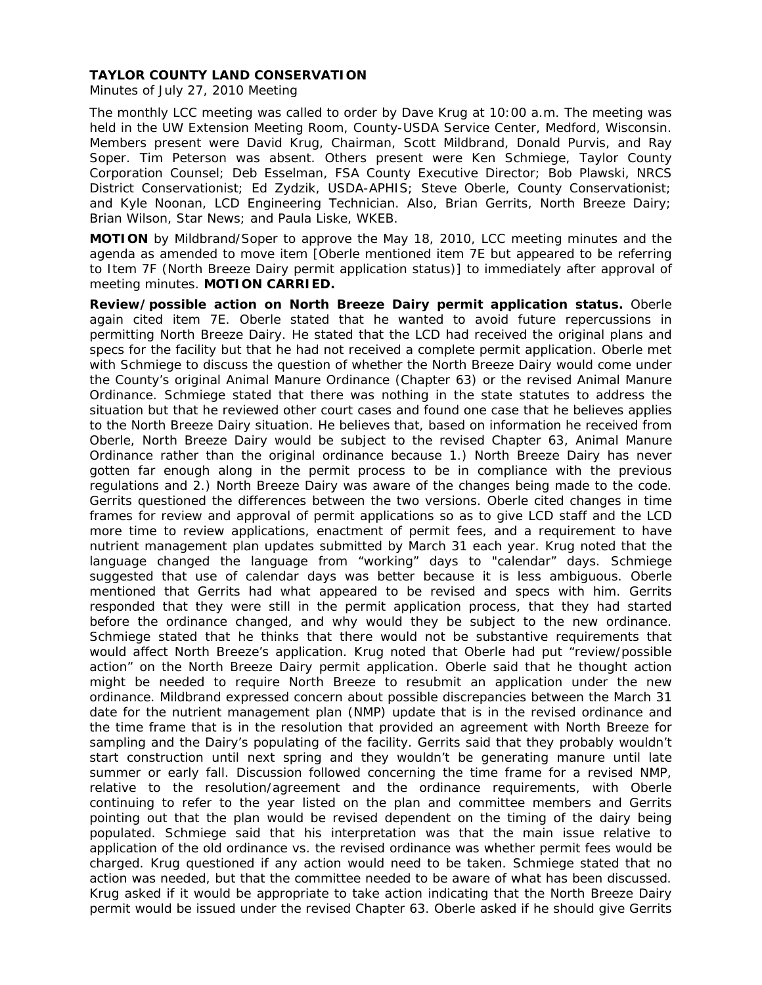Minutes of July 27, 2010 Meeting

The monthly LCC meeting was called to order by Dave Krug at 10:00 a.m. The meeting was held in the UW Extension Meeting Room, County-USDA Service Center, Medford, Wisconsin. Members present were David Krug, Chairman, Scott Mildbrand, Donald Purvis, and Ray Soper. Tim Peterson was absent. Others present were Ken Schmiege, Taylor County Corporation Counsel; Deb Esselman, FSA County Executive Director; Bob Plawski, NRCS District Conservationist; Ed Zydzik, USDA-APHIS; Steve Oberle, County Conservationist; and Kyle Noonan, LCD Engineering Technician. Also, Brian Gerrits, North Breeze Dairy; Brian Wilson, *Star News*; and Paula Liske, WKEB.

**MOTION** by Mildbrand/Soper to approve the May 18, 2010, LCC meeting minutes and the agenda as amended to move item [Oberle mentioned item 7E but appeared to be referring to Item 7F (North Breeze Dairy permit application status)] to immediately after approval of meeting minutes. **MOTION CARRIED.** 

**Review/possible action on North Breeze Dairy permit application status.** Oberle again cited item 7E. Oberle stated that he wanted to avoid future repercussions in permitting North Breeze Dairy. He stated that the LCD had received the original plans and specs for the facility but that he had not received a complete permit application. Oberle met with Schmiege to discuss the question of whether the North Breeze Dairy would come under the County's original Animal Manure Ordinance (Chapter 63) or the revised Animal Manure Ordinance. Schmiege stated that there was nothing in the state statutes to address the situation but that he reviewed other court cases and found one case that he believes applies to the North Breeze Dairy situation. He believes that, based on information he received from Oberle, North Breeze Dairy would be subject to the revised Chapter 63, Animal Manure Ordinance rather than the original ordinance because 1.) North Breeze Dairy has never gotten far enough along in the permit process to be in compliance with the previous regulations and 2.) North Breeze Dairy was aware of the changes being made to the code. Gerrits questioned the differences between the two versions. Oberle cited changes in time frames for review and approval of permit applications so as to give LCD staff and the LCD more time to review applications, enactment of permit fees, and a requirement to have nutrient management plan updates submitted by March 31 each year. Krug noted that the language changed the language from "working" days to "calendar" days. Schmiege suggested that use of calendar days was better because it is less ambiguous. Oberle mentioned that Gerrits had what appeared to be revised and specs with him. Gerrits responded that they were still in the permit application process, that they had started before the ordinance changed, and why would they be subject to the new ordinance. Schmiege stated that he thinks that there would not be substantive requirements that would affect North Breeze's application. Krug noted that Oberle had put "review/possible action" on the North Breeze Dairy permit application. Oberle said that he thought action might be needed to require North Breeze to resubmit an application under the new ordinance. Mildbrand expressed concern about possible discrepancies between the March 31 date for the nutrient management plan (NMP) update that is in the revised ordinance and the time frame that is in the resolution that provided an agreement with North Breeze for sampling and the Dairy's populating of the facility. Gerrits said that they probably wouldn't start construction until next spring and they wouldn't be generating manure until late summer or early fall. Discussion followed concerning the time frame for a revised NMP, relative to the resolution/agreement and the ordinance requirements, with Oberle continuing to refer to the year listed on the plan and committee members and Gerrits pointing out that the plan would be revised dependent on the timing of the dairy being populated. Schmiege said that his interpretation was that the main issue relative to application of the old ordinance vs. the revised ordinance was whether permit fees would be charged. Krug questioned if any action would need to be taken. Schmiege stated that no action was needed, but that the committee needed to be aware of what has been discussed. Krug asked if it would be appropriate to take action indicating that the North Breeze Dairy permit would be issued under the revised Chapter 63. Oberle asked if he should give Gerrits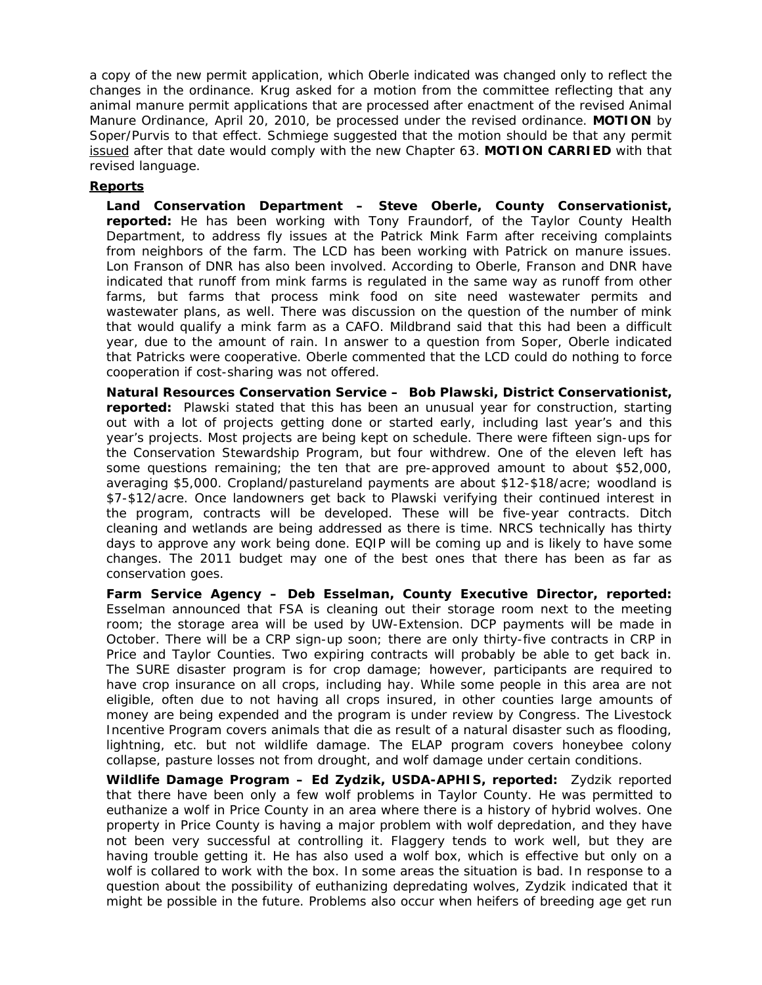a copy of the new permit application, which Oberle indicated was changed only to reflect the changes in the ordinance. Krug asked for a motion from the committee reflecting that any animal manure permit applications that are processed after enactment of the revised Animal Manure Ordinance, April 20, 2010, be processed under the revised ordinance. **MOTION** by Soper/Purvis to that effect. Schmiege suggested that the motion should be that any permit issued after that date would comply with the new Chapter 63. **MOTION CARRIED** with that revised language.

## **Reports**

**Land Conservation Department – Steve Oberle, County Conservationist, reported:** He has been working with Tony Fraundorf, of the Taylor County Health Department, to address fly issues at the Patrick Mink Farm after receiving complaints from neighbors of the farm. The LCD has been working with Patrick on manure issues. Lon Franson of DNR has also been involved. According to Oberle, Franson and DNR have indicated that runoff from mink farms is regulated in the same way as runoff from other farms, but farms that process mink food on site need wastewater permits and wastewater plans, as well. There was discussion on the question of the number of mink that would qualify a mink farm as a CAFO. Mildbrand said that this had been a difficult year, due to the amount of rain. In answer to a question from Soper, Oberle indicated that Patricks were cooperative. Oberle commented that the LCD could do nothing to force cooperation if cost-sharing was not offered.

**Natural Resources Conservation Service – Bob Plawski, District Conservationist, reported:** Plawski stated that this has been an unusual year for construction, starting out with a lot of projects getting done or started early, including last year's and this year's projects. Most projects are being kept on schedule. There were fifteen sign-ups for the Conservation Stewardship Program, but four withdrew. One of the eleven left has some questions remaining; the ten that are pre-approved amount to about \$52,000, averaging \$5,000. Cropland/pastureland payments are about \$12-\$18/acre; woodland is \$7-\$12/acre. Once landowners get back to Plawski verifying their continued interest in the program, contracts will be developed. These will be five-year contracts. Ditch cleaning and wetlands are being addressed as there is time. NRCS technically has thirty days to approve any work being done. EQIP will be coming up and is likely to have some changes. The 2011 budget may one of the best ones that there has been as far as conservation goes.

**Farm Service Agency – Deb Esselman, County Executive Director, reported:** Esselman announced that FSA is cleaning out their storage room next to the meeting room; the storage area will be used by UW-Extension. DCP payments will be made in October. There will be a CRP sign-up soon; there are only thirty-five contracts in CRP in Price and Taylor Counties. Two expiring contracts will probably be able to get back in. The SURE disaster program is for crop damage; however, participants are required to have crop insurance on all crops, including hay. While some people in this area are not eligible, often due to not having all crops insured, in other counties large amounts of money are being expended and the program is under review by Congress. The Livestock Incentive Program covers animals that die as result of a natural disaster such as flooding, lightning, etc. but not wildlife damage. The ELAP program covers honeybee colony collapse, pasture losses not from drought, and wolf damage under certain conditions.

**Wildlife Damage Program – Ed Zydzik, USDA-APHIS, reported:** Zydzik reported that there have been only a few wolf problems in Taylor County. He was permitted to euthanize a wolf in Price County in an area where there is a history of hybrid wolves. One property in Price County is having a major problem with wolf depredation, and they have not been very successful at controlling it. Flaggery tends to work well, but they are having trouble getting it. He has also used a wolf box, which is effective but only on a wolf is collared to work with the box. In some areas the situation is bad. In response to a question about the possibility of euthanizing depredating wolves, Zydzik indicated that it might be possible in the future. Problems also occur when heifers of breeding age get run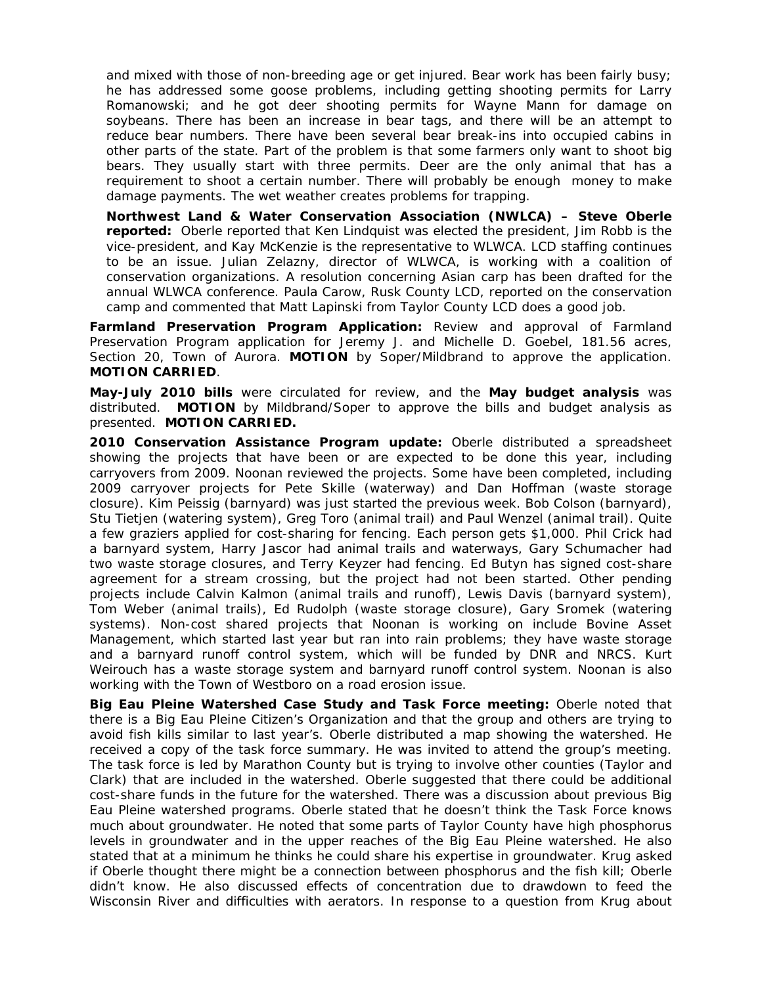and mixed with those of non-breeding age or get injured. Bear work has been fairly busy; he has addressed some goose problems, including getting shooting permits for Larry Romanowski; and he got deer shooting permits for Wayne Mann for damage on soybeans. There has been an increase in bear tags, and there will be an attempt to reduce bear numbers. There have been several bear break-ins into occupied cabins in other parts of the state. Part of the problem is that some farmers only want to shoot big bears. They usually start with three permits. Deer are the only animal that has a requirement to shoot a certain number. There will probably be enough money to make damage payments. The wet weather creates problems for trapping.

**Northwest Land & Water Conservation Association (NWLCA) – Steve Oberle reported:** Oberle reported that Ken Lindquist was elected the president, Jim Robb is the vice-president, and Kay McKenzie is the representative to WLWCA. LCD staffing continues to be an issue. Julian Zelazny, director of WLWCA, is working with a coalition of conservation organizations. A resolution concerning Asian carp has been drafted for the annual WLWCA conference. Paula Carow, Rusk County LCD, reported on the conservation camp and commented that Matt Lapinski from Taylor County LCD does a good job.

**Farmland Preservation Program Application:** Review and approval of Farmland Preservation Program application for Jeremy J. and Michelle D. Goebel, 181.56 acres, Section 20, Town of Aurora. **MOTION** by Soper/Mildbrand to approve the application. **MOTION CARRIED**.

**May-July 2010 bills** were circulated for review, and the **May budget analysis** was distributed. **MOTION** by Mildbrand/Soper to approve the bills and budget analysis as presented. **MOTION CARRIED.**

**2010 Conservation Assistance Program update:** Oberle distributed a spreadsheet showing the projects that have been or are expected to be done this year, including carryovers from 2009. Noonan reviewed the projects. Some have been completed, including 2009 carryover projects for Pete Skille (waterway) and Dan Hoffman (waste storage closure). Kim Peissig (barnyard) was just started the previous week. Bob Colson (barnyard), Stu Tietjen (watering system), Greg Toro (animal trail) and Paul Wenzel (animal trail). Quite a few graziers applied for cost-sharing for fencing. Each person gets \$1,000. Phil Crick had a barnyard system, Harry Jascor had animal trails and waterways, Gary Schumacher had two waste storage closures, and Terry Keyzer had fencing. Ed Butyn has signed cost-share agreement for a stream crossing, but the project had not been started. Other pending projects include Calvin Kalmon (animal trails and runoff), Lewis Davis (barnyard system), Tom Weber (animal trails), Ed Rudolph (waste storage closure), Gary Sromek (watering systems). Non-cost shared projects that Noonan is working on include Bovine Asset Management, which started last year but ran into rain problems; they have waste storage and a barnyard runoff control system, which will be funded by DNR and NRCS. Kurt Weirouch has a waste storage system and barnyard runoff control system. Noonan is also working with the Town of Westboro on a road erosion issue.

**Big Eau Pleine Watershed Case Study and Task Force meeting:** Oberle noted that there is a Big Eau Pleine Citizen's Organization and that the group and others are trying to avoid fish kills similar to last year's. Oberle distributed a map showing the watershed. He received a copy of the task force summary. He was invited to attend the group's meeting. The task force is led by Marathon County but is trying to involve other counties (Taylor and Clark) that are included in the watershed. Oberle suggested that there could be additional cost-share funds in the future for the watershed. There was a discussion about previous Big Eau Pleine watershed programs. Oberle stated that he doesn't think the Task Force knows much about groundwater. He noted that some parts of Taylor County have high phosphorus levels in groundwater and in the upper reaches of the Big Eau Pleine watershed. He also stated that at a minimum he thinks he could share his expertise in groundwater. Krug asked if Oberle thought there might be a connection between phosphorus and the fish kill; Oberle didn't know. He also discussed effects of concentration due to drawdown to feed the Wisconsin River and difficulties with aerators. In response to a question from Krug about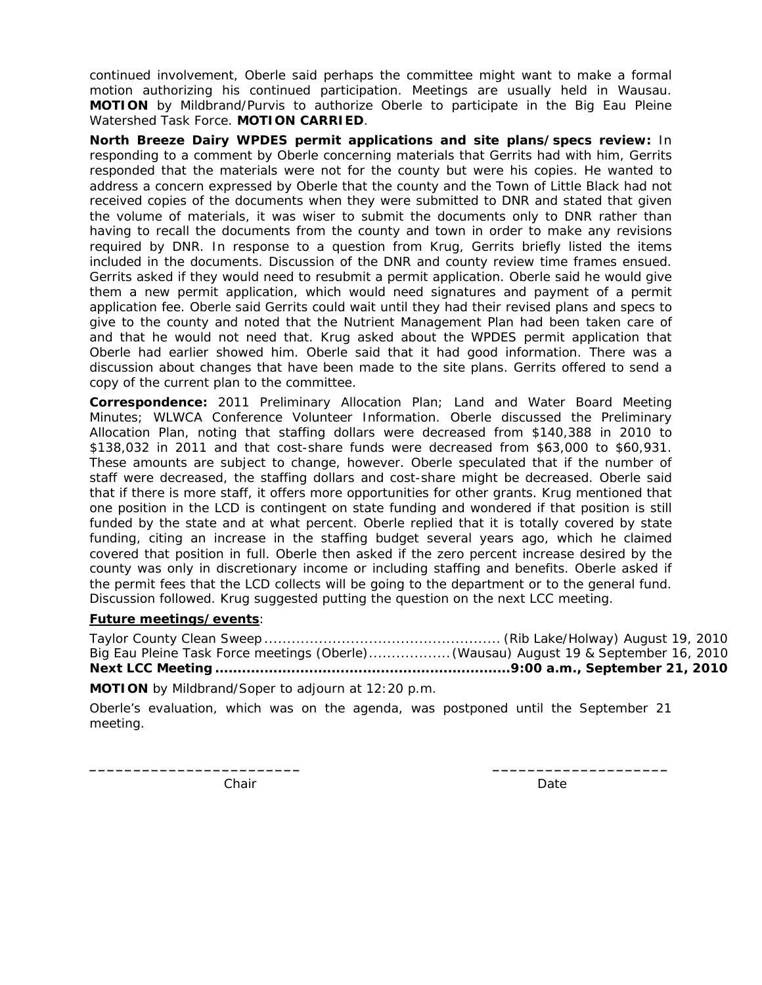continued involvement, Oberle said perhaps the committee might want to make a formal motion authorizing his continued participation. Meetings are usually held in Wausau. **MOTION** by Mildbrand/Purvis to authorize Oberle to participate in the Big Eau Pleine Watershed Task Force. **MOTION CARRIED**.

**North Breeze Dairy WPDES permit applications and site plans/specs review:** In responding to a comment by Oberle concerning materials that Gerrits had with him, Gerrits responded that the materials were not for the county but were his copies. He wanted to address a concern expressed by Oberle that the county and the Town of Little Black had not received copies of the documents when they were submitted to DNR and stated that given the volume of materials, it was wiser to submit the documents only to DNR rather than having to recall the documents from the county and town in order to make any revisions required by DNR. In response to a question from Krug, Gerrits briefly listed the items included in the documents. Discussion of the DNR and county review time frames ensued. Gerrits asked if they would need to resubmit a permit application. Oberle said he would give them a new permit application, which would need signatures and payment of a permit application fee. Oberle said Gerrits could wait until they had their revised plans and specs to give to the county and noted that the Nutrient Management Plan had been taken care of and that he would not need that. Krug asked about the WPDES permit application that Oberle had earlier showed him. Oberle said that it had good information. There was a discussion about changes that have been made to the site plans. Gerrits offered to send a copy of the current plan to the committee.

**Correspondence:** 2011 Preliminary Allocation Plan; Land and Water Board Meeting Minutes; WLWCA Conference Volunteer Information. Oberle discussed the Preliminary Allocation Plan, noting that staffing dollars were decreased from \$140,388 in 2010 to \$138,032 in 2011 and that cost-share funds were decreased from \$63,000 to \$60,931. These amounts are subject to change, however. Oberle speculated that if the number of staff were decreased, the staffing dollars and cost-share might be decreased. Oberle said that if there is more staff, it offers more opportunities for other grants. Krug mentioned that one position in the LCD is contingent on state funding and wondered if that position is still funded by the state and at what percent. Oberle replied that it is totally covered by state funding, citing an increase in the staffing budget several years ago, which he claimed covered that position in full. Oberle then asked if the zero percent increase desired by the county was only in discretionary income or including staffing and benefits. Oberle asked if the permit fees that the LCD collects will be going to the department or to the general fund. Discussion followed. Krug suggested putting the question on the next LCC meeting.

# **Future meetings/events**:

Taylor County Clean Sweep .................................................... (Rib Lake/Holway) August 19, 2010 Big Eau Pleine Task Force meetings (Oberle) .................. (Wausau) August 19 & September 16, 2010 **Next LCC Meeting .................................................................. 9:00 a.m., September 21, 2010** 

**MOTION** by Mildbrand/Soper to adjourn at 12:20 p.m.

Oberle's evaluation, which was on the agenda, was postponed until the September 21 meeting.

**\_\_\_\_\_\_\_\_\_\_\_\_\_\_\_\_\_\_\_\_\_\_\_\_ \_\_\_\_\_\_\_\_\_\_\_\_\_\_\_\_\_\_\_\_** 

Chair **Date** Date **Date**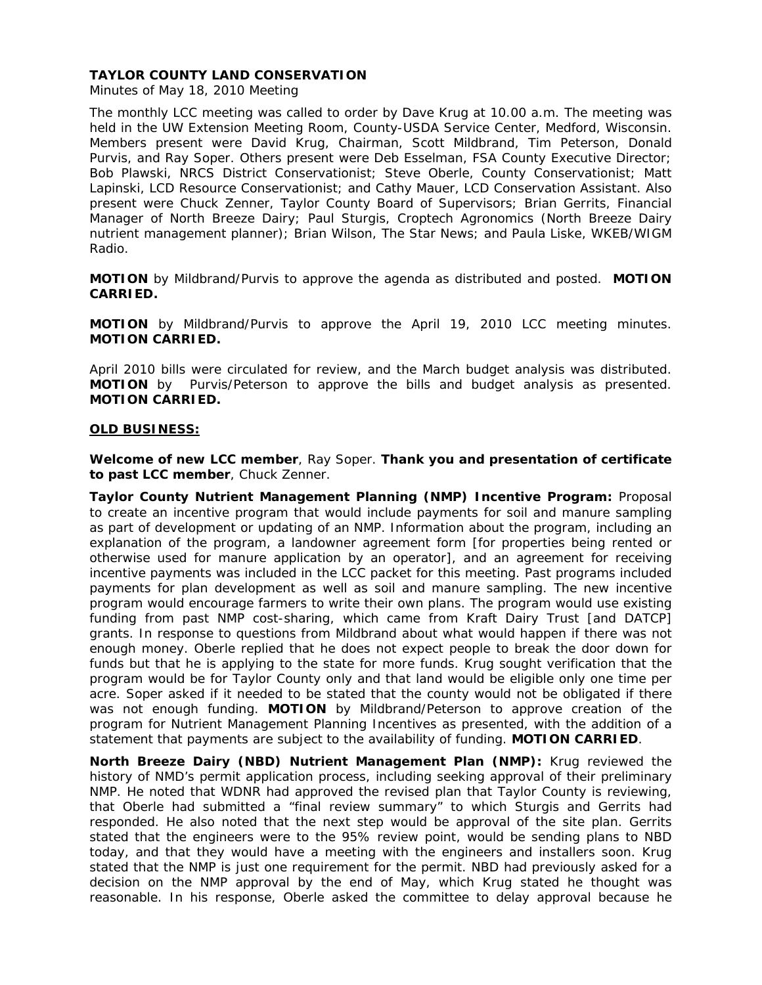Minutes of May 18, 2010 Meeting

The monthly LCC meeting was called to order by Dave Krug at 10.00 a.m. The meeting was held in the UW Extension Meeting Room, County-USDA Service Center, Medford, Wisconsin. Members present were David Krug, Chairman, Scott Mildbrand, Tim Peterson, Donald Purvis, and Ray Soper. Others present were Deb Esselman, FSA County Executive Director; Bob Plawski, NRCS District Conservationist; Steve Oberle, County Conservationist; Matt Lapinski, LCD Resource Conservationist; and Cathy Mauer, LCD Conservation Assistant. Also present were Chuck Zenner, Taylor County Board of Supervisors; Brian Gerrits, Financial Manager of North Breeze Dairy; Paul Sturgis, Croptech Agronomics (North Breeze Dairy nutrient management planner); Brian Wilson, *The Star News*; and Paula Liske, WKEB/WIGM Radio.

**MOTION** by Mildbrand/Purvis to approve the agenda as distributed and posted. **MOTION CARRIED.**

**MOTION** by Mildbrand/Purvis to approve the April 19, 2010 LCC meeting minutes. **MOTION CARRIED.** 

April 2010 bills were circulated for review, and the March budget analysis was distributed. **MOTION** by Purvis/Peterson to approve the bills and budget analysis as presented. **MOTION CARRIED.**

## **OLD BUSINESS:**

**Welcome of new LCC member**, Ray Soper. **Thank you and presentation of certificate to past LCC member**, Chuck Zenner.

**Taylor County Nutrient Management Planning (NMP) Incentive Program:** Proposal to create an incentive program that would include payments for soil and manure sampling as part of development or updating of an NMP. Information about the program, including an explanation of the program, a landowner agreement form [for properties being rented or otherwise used for manure application by an operator], and an agreement for receiving incentive payments was included in the LCC packet for this meeting. Past programs included payments for plan development as well as soil and manure sampling. The new incentive program would encourage farmers to write their own plans. The program would use existing funding from past NMP cost-sharing, which came from Kraft Dairy Trust [and DATCP] grants. In response to questions from Mildbrand about what would happen if there was not enough money. Oberle replied that he does not expect people to break the door down for funds but that he is applying to the state for more funds. Krug sought verification that the program would be for Taylor County only and that land would be eligible only one time per acre. Soper asked if it needed to be stated that the county would not be obligated if there was not enough funding. **MOTION** by Mildbrand/Peterson to approve creation of the program for Nutrient Management Planning Incentives as presented, with the addition of a statement that payments are subject to the availability of funding. **MOTION CARRIED**.

**North Breeze Dairy (NBD) Nutrient Management Plan (NMP):** Krug reviewed the history of NMD's permit application process, including seeking approval of their preliminary NMP. He noted that WDNR had approved the revised plan that Taylor County is reviewing, that Oberle had submitted a "final review summary" to which Sturgis and Gerrits had responded. He also noted that the next step would be approval of the site plan. Gerrits stated that the engineers were to the 95% review point, would be sending plans to NBD today, and that they would have a meeting with the engineers and installers soon. Krug stated that the NMP is just one requirement for the permit. NBD had previously asked for a decision on the NMP approval by the end of May, which Krug stated he thought was reasonable. In his response, Oberle asked the committee to delay approval because he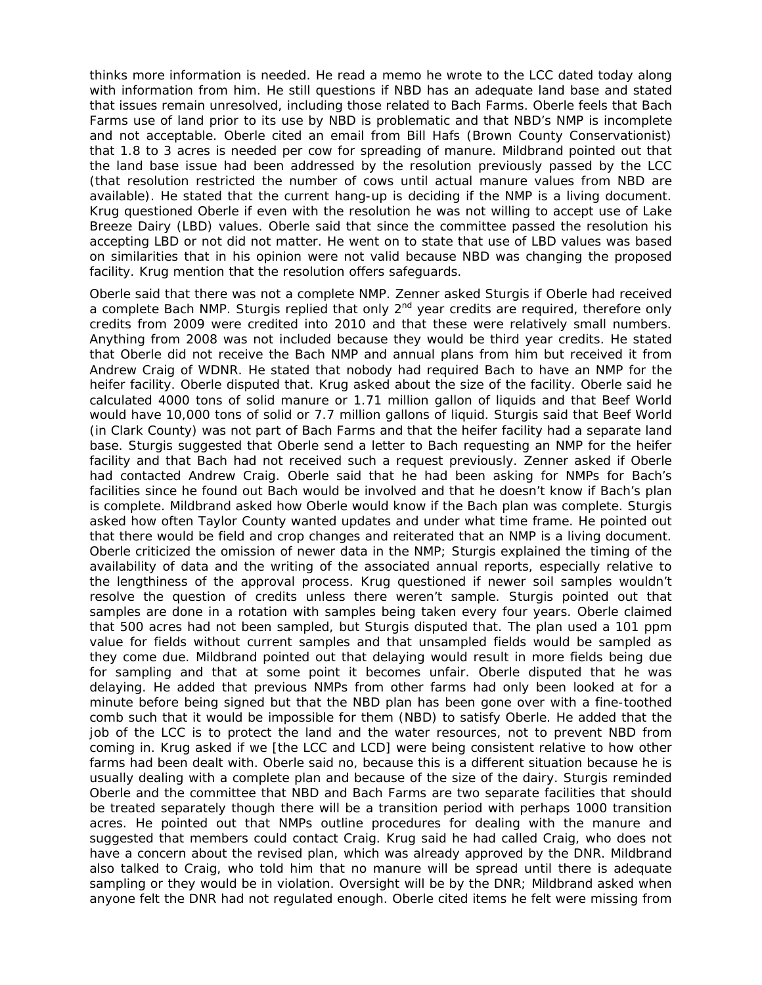thinks more information is needed. He read a memo he wrote to the LCC dated today along with information from him. He still questions if NBD has an adequate land base and stated that issues remain unresolved, including those related to Bach Farms. Oberle feels that Bach Farms use of land prior to its use by NBD is problematic and that NBD's NMP is incomplete and not acceptable. Oberle cited an email from Bill Hafs (Brown County Conservationist) that 1.8 to 3 acres is needed per cow for spreading of manure. Mildbrand pointed out that the land base issue had been addressed by the resolution previously passed by the LCC (that resolution restricted the number of cows until actual manure values from NBD are available). He stated that the current hang-up is deciding if the NMP is a living document. Krug questioned Oberle if even with the resolution he was not willing to accept use of Lake Breeze Dairy (LBD) values. Oberle said that since the committee passed the resolution his accepting LBD or not did not matter. He went on to state that use of LBD values was based on similarities that in his opinion were not valid because NBD was changing the proposed facility. Krug mention that the resolution offers safeguards.

Oberle said that there was not a complete NMP. Zenner asked Sturgis if Oberle had received a complete Bach NMP. Sturgis replied that only 2<sup>nd</sup> year credits are required, therefore only credits from 2009 were credited into 2010 and that these were relatively small numbers. Anything from 2008 was not included because they would be third year credits. He stated that Oberle did not receive the Bach NMP and annual plans from him but received it from Andrew Craig of WDNR. He stated that nobody had required Bach to have an NMP for the heifer facility. Oberle disputed that. Krug asked about the size of the facility. Oberle said he calculated 4000 tons of solid manure or 1.71 million gallon of liquids and that Beef World would have 10,000 tons of solid or 7.7 million gallons of liquid. Sturgis said that Beef World (in Clark County) was not part of Bach Farms and that the heifer facility had a separate land base. Sturgis suggested that Oberle send a letter to Bach requesting an NMP for the heifer facility and that Bach had not received such a request previously. Zenner asked if Oberle had contacted Andrew Craig. Oberle said that he had been asking for NMPs for Bach's facilities since he found out Bach would be involved and that he doesn't know if Bach's plan is complete. Mildbrand asked how Oberle would know if the Bach plan was complete. Sturgis asked how often Taylor County wanted updates and under what time frame. He pointed out that there would be field and crop changes and reiterated that an NMP is a living document. Oberle criticized the omission of newer data in the NMP; Sturgis explained the timing of the availability of data and the writing of the associated annual reports, especially relative to the lengthiness of the approval process. Krug questioned if newer soil samples wouldn't resolve the question of credits unless there weren't sample. Sturgis pointed out that samples are done in a rotation with samples being taken every four years. Oberle claimed that 500 acres had not been sampled, but Sturgis disputed that. The plan used a 101 ppm value for fields without current samples and that unsampled fields would be sampled as they come due. Mildbrand pointed out that delaying would result in more fields being due for sampling and that at some point it becomes unfair. Oberle disputed that he was delaying. He added that previous NMPs from other farms had only been looked at for a minute before being signed but that the NBD plan has been gone over with a fine-toothed comb such that it would be impossible for them (NBD) to satisfy Oberle. He added that the job of the LCC is to protect the land and the water resources, not to prevent NBD from coming in. Krug asked if we [the LCC and LCD] were being consistent relative to how other farms had been dealt with. Oberle said no, because this is a different situation because he is usually dealing with a complete plan and because of the size of the dairy. Sturgis reminded Oberle and the committee that NBD and Bach Farms are two separate facilities that should be treated separately though there will be a transition period with perhaps 1000 transition acres. He pointed out that NMPs outline procedures for dealing with the manure and suggested that members could contact Craig. Krug said he had called Craig, who does not have a concern about the revised plan, which was already approved by the DNR. Mildbrand also talked to Craig, who told him that no manure will be spread until there is adequate sampling or they would be in violation. Oversight will be by the DNR; Mildbrand asked when anyone felt the DNR had not regulated enough. Oberle cited items he felt were missing from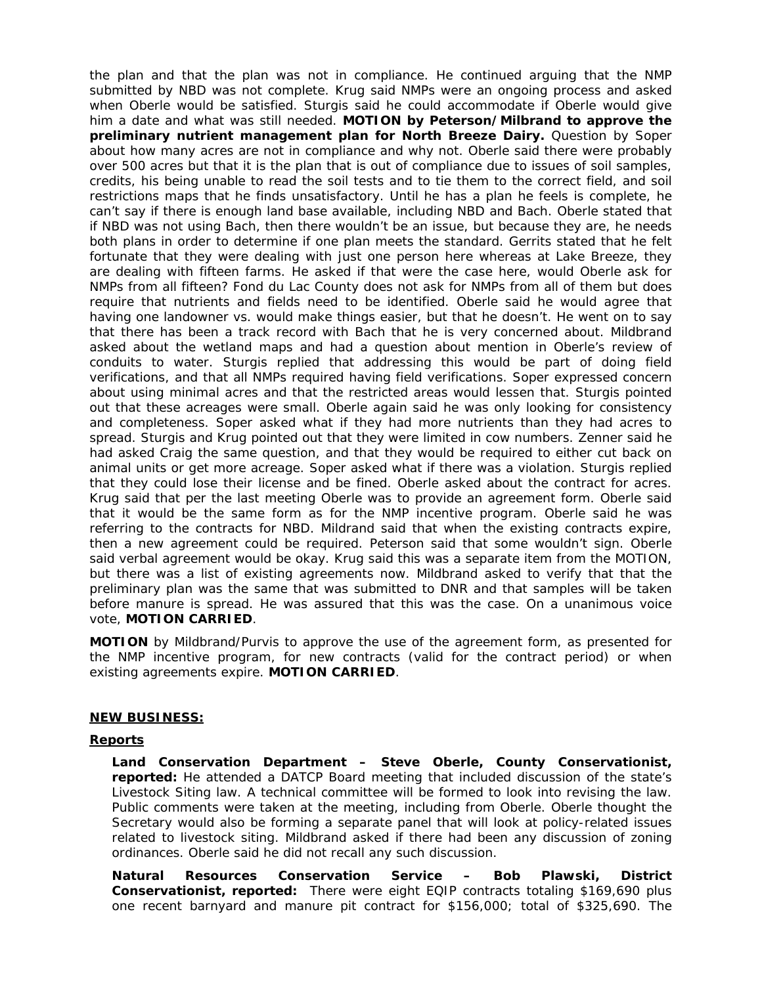the plan and that the plan was not in compliance. He continued arguing that the NMP submitted by NBD was not complete. Krug said NMPs were an ongoing process and asked when Oberle would be satisfied. Sturgis said he could accommodate if Oberle would give him a date and what was still needed. **MOTION by Peterson/Milbrand to approve the preliminary nutrient management plan for North Breeze Dairy.** Question by Soper about how many acres are not in compliance and why not. Oberle said there were probably over 500 acres but that it is the plan that is out of compliance due to issues of soil samples, credits, his being unable to read the soil tests and to tie them to the correct field, and soil restrictions maps that he finds unsatisfactory. Until he has a plan he feels is complete, he can't say if there is enough land base available, including NBD and Bach. Oberle stated that if NBD was not using Bach, then there wouldn't be an issue, but because they are, he needs both plans in order to determine if one plan meets the standard. Gerrits stated that he felt fortunate that they were dealing with just one person here whereas at Lake Breeze, they are dealing with fifteen farms. He asked if that were the case here, would Oberle ask for NMPs from all fifteen? Fond du Lac County does not ask for NMPs from all of them but does require that nutrients and fields need to be identified. Oberle said he would agree that having one landowner vs. would make things easier, but that he doesn't. He went on to say that there has been a track record with Bach that he is very concerned about. Mildbrand asked about the wetland maps and had a question about mention in Oberle's review of conduits to water. Sturgis replied that addressing this would be part of doing field verifications, and that all NMPs required having field verifications. Soper expressed concern about using minimal acres and that the restricted areas would lessen that. Sturgis pointed out that these acreages were small. Oberle again said he was only looking for consistency and completeness. Soper asked what if they had more nutrients than they had acres to spread. Sturgis and Krug pointed out that they were limited in cow numbers. Zenner said he had asked Craig the same question, and that they would be required to either cut back on animal units or get more acreage. Soper asked what if there was a violation. Sturgis replied that they could lose their license and be fined. Oberle asked about the contract for acres. Krug said that per the last meeting Oberle was to provide an agreement form. Oberle said that it would be the same form as for the NMP incentive program. Oberle said he was referring to the contracts for NBD. Mildrand said that when the existing contracts expire, then a new agreement could be required. Peterson said that some wouldn't sign. Oberle said verbal agreement would be okay. Krug said this was a separate item from the MOTION, but there was a list of existing agreements now. Mildbrand asked to verify that that the preliminary plan was the same that was submitted to DNR and that samples will be taken before manure is spread. He was assured that this was the case. On a unanimous voice vote, **MOTION CARRIED**.

**MOTION** by Mildbrand/Purvis to approve the use of the agreement form, as presented for the NMP incentive program, for new contracts (valid for the contract period) or when existing agreements expire. **MOTION CARRIED**.

## **NEW BUSINESS:**

## **Reports**

**Land Conservation Department – Steve Oberle, County Conservationist, reported:** He attended a DATCP Board meeting that included discussion of the state's Livestock Siting law. A technical committee will be formed to look into revising the law. Public comments were taken at the meeting, including from Oberle. Oberle thought the Secretary would also be forming a separate panel that will look at policy-related issues related to livestock siting. Mildbrand asked if there had been any discussion of zoning ordinances. Oberle said he did not recall any such discussion.

**Natural Resources Conservation Service – Bob Plawski, District Conservationist, reported:** There were eight EQIP contracts totaling \$169,690 plus one recent barnyard and manure pit contract for \$156,000; total of \$325,690. The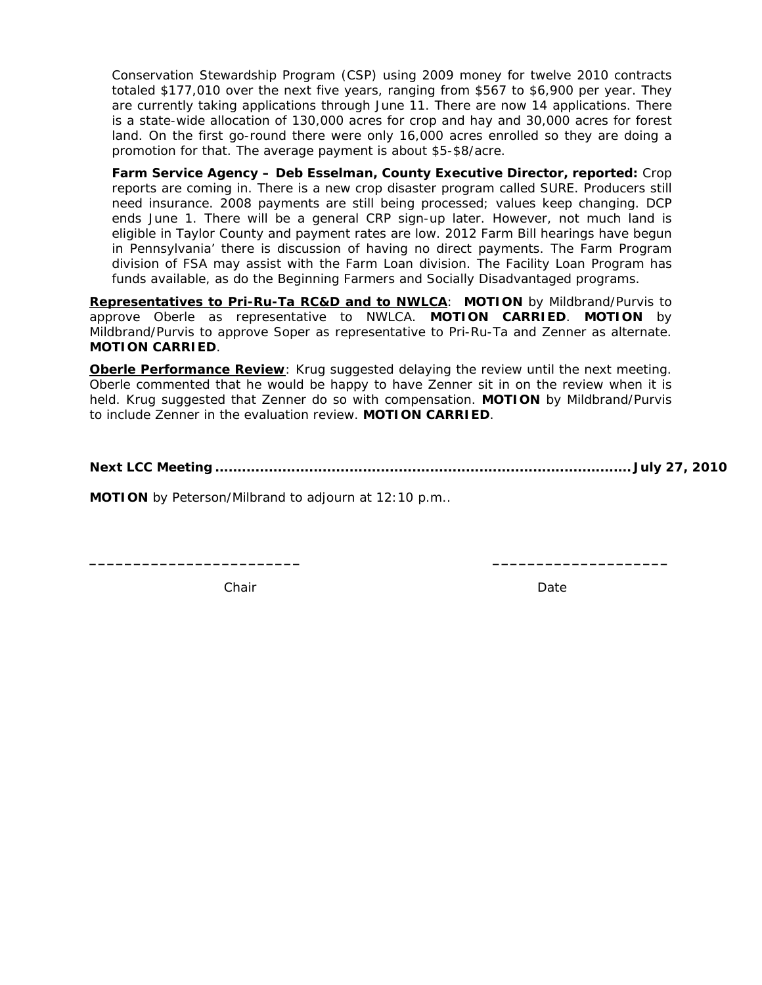Conservation Stewardship Program (CSP) using 2009 money for twelve 2010 contracts totaled \$177,010 over the next five years, ranging from \$567 to \$6,900 per year. They are currently taking applications through June 11. There are now 14 applications. There is a state-wide allocation of 130,000 acres for crop and hay and 30,000 acres for forest land. On the first go-round there were only 16,000 acres enrolled so they are doing a promotion for that. The average payment is about \$5-\$8/acre.

**Farm Service Agency – Deb Esselman, County Executive Director, reported:** Crop reports are coming in. There is a new crop disaster program called SURE. Producers still need insurance. 2008 payments are still being processed; values keep changing. DCP ends June 1. There will be a general CRP sign-up later. However, not much land is eligible in Taylor County and payment rates are low. 2012 Farm Bill hearings have begun in Pennsylvania' there is discussion of having no direct payments. The Farm Program division of FSA may assist with the Farm Loan division. The Facility Loan Program has funds available, as do the Beginning Farmers and Socially Disadvantaged programs.

**Representatives to Pri-Ru-Ta RC&D and to NWLCA**: **MOTION** by Mildbrand/Purvis to approve Oberle as representative to NWLCA. **MOTION CARRIED**. **MOTION** by Mildbrand/Purvis to approve Soper as representative to Pri-Ru-Ta and Zenner as alternate. **MOTION CARRIED**.

**Oberle Performance Review**: Krug suggested delaying the review until the next meeting. Oberle commented that he would be happy to have Zenner sit in on the review when it is held. Krug suggested that Zenner do so with compensation. **MOTION** by Mildbrand/Purvis to include Zenner in the evaluation review. **MOTION CARRIED**.

**\_\_\_\_\_\_\_\_\_\_\_\_\_\_\_\_\_\_\_\_\_\_\_\_ \_\_\_\_\_\_\_\_\_\_\_\_\_\_\_\_\_\_\_\_** 

**Next LCC Meeting ............................................................................................. July 27, 2010** 

**MOTION** by Peterson/Milbrand to adjourn at 12:10 p.m..

Chair **Date** Date **Date**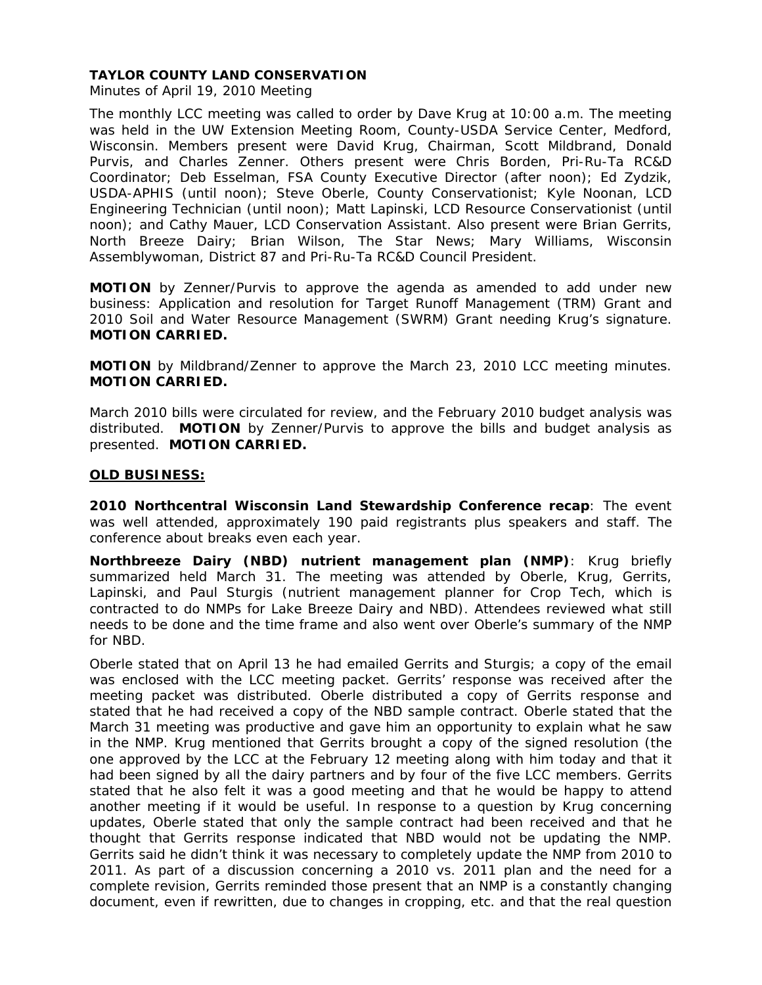Minutes of April 19, 2010 Meeting

The monthly LCC meeting was called to order by Dave Krug at 10:00 a.m. The meeting was held in the UW Extension Meeting Room, County-USDA Service Center, Medford, Wisconsin. Members present were David Krug, Chairman, Scott Mildbrand, Donald Purvis, and Charles Zenner. Others present were Chris Borden, Pri-Ru-Ta RC&D Coordinator; Deb Esselman, FSA County Executive Director (after noon); Ed Zydzik, USDA-APHIS (until noon); Steve Oberle, County Conservationist; Kyle Noonan, LCD Engineering Technician (until noon); Matt Lapinski, LCD Resource Conservationist (until noon); and Cathy Mauer, LCD Conservation Assistant. Also present were Brian Gerrits, North Breeze Dairy; Brian Wilson, *The Star News*; Mary Williams, Wisconsin Assemblywoman, District 87 and Pri-Ru-Ta RC&D Council President.

**MOTION** by Zenner/Purvis to approve the agenda as amended to add under new business: Application and resolution for Target Runoff Management (TRM) Grant and 2010 Soil and Water Resource Management (SWRM) Grant needing Krug's signature. **MOTION CARRIED.**

**MOTION** by Mildbrand/Zenner to approve the March 23, 2010 LCC meeting minutes. **MOTION CARRIED.** 

March 2010 bills were circulated for review, and the February 2010 budget analysis was distributed. **MOTION** by Zenner/Purvis to approve the bills and budget analysis as presented. **MOTION CARRIED.**

# **OLD BUSINESS:**

**2010 Northcentral Wisconsin Land Stewardship Conference recap**: The event was well attended, approximately 190 paid registrants plus speakers and staff. The conference about breaks even each year.

**Northbreeze Dairy (NBD) nutrient management plan (NMP)**: Krug briefly summarized held March 31. The meeting was attended by Oberle, Krug, Gerrits, Lapinski, and Paul Sturgis (nutrient management planner for Crop Tech, which is contracted to do NMPs for Lake Breeze Dairy and NBD). Attendees reviewed what still needs to be done and the time frame and also went over Oberle's summary of the NMP for NBD.

Oberle stated that on April 13 he had emailed Gerrits and Sturgis; a copy of the email was enclosed with the LCC meeting packet. Gerrits' response was received after the meeting packet was distributed. Oberle distributed a copy of Gerrits response and stated that he had received a copy of the NBD sample contract. Oberle stated that the March 31 meeting was productive and gave him an opportunity to explain what he saw in the NMP. Krug mentioned that Gerrits brought a copy of the signed resolution (the one approved by the LCC at the February 12 meeting along with him today and that it had been signed by all the dairy partners and by four of the five LCC members. Gerrits stated that he also felt it was a good meeting and that he would be happy to attend another meeting if it would be useful. In response to a question by Krug concerning updates, Oberle stated that only the sample contract had been received and that he thought that Gerrits response indicated that NBD would not be updating the NMP. Gerrits said he didn't think it was necessary to completely update the NMP from 2010 to 2011. As part of a discussion concerning a 2010 vs. 2011 plan and the need for a complete revision, Gerrits reminded those present that an NMP is a constantly changing document, even if rewritten, due to changes in cropping, etc. and that the real question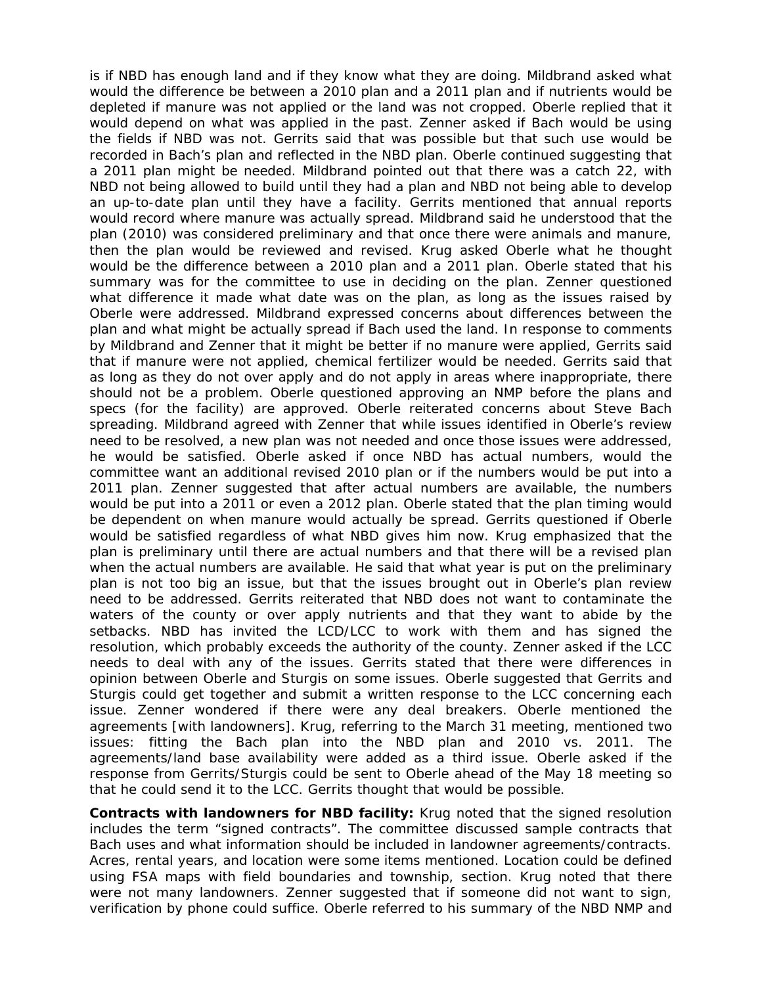is if NBD has enough land and if they know what they are doing. Mildbrand asked what would the difference be between a 2010 plan and a 2011 plan and if nutrients would be depleted if manure was not applied or the land was not cropped. Oberle replied that it would depend on what was applied in the past. Zenner asked if Bach would be using the fields if NBD was not. Gerrits said that was possible but that such use would be recorded in Bach's plan and reflected in the NBD plan. Oberle continued suggesting that a 2011 plan might be needed. Mildbrand pointed out that there was a catch 22, with NBD not being allowed to build until they had a plan and NBD not being able to develop an up-to-date plan until they have a facility. Gerrits mentioned that annual reports would record where manure was actually spread. Mildbrand said he understood that the plan (2010) was considered preliminary and that once there were animals and manure, then the plan would be reviewed and revised. Krug asked Oberle what he thought would be the difference between a 2010 plan and a 2011 plan. Oberle stated that his summary was for the committee to use in deciding on the plan. Zenner questioned what difference it made what date was on the plan, as long as the issues raised by Oberle were addressed. Mildbrand expressed concerns about differences between the plan and what might be actually spread if Bach used the land. In response to comments by Mildbrand and Zenner that it might be better if no manure were applied, Gerrits said that if manure were not applied, chemical fertilizer would be needed. Gerrits said that as long as they do not over apply and do not apply in areas where inappropriate, there should not be a problem. Oberle questioned approving an NMP before the plans and specs (for the facility) are approved. Oberle reiterated concerns about Steve Bach spreading. Mildbrand agreed with Zenner that while issues identified in Oberle's review need to be resolved, a new plan was not needed and once those issues were addressed, he would be satisfied. Oberle asked if once NBD has actual numbers, would the committee want an additional revised 2010 plan or if the numbers would be put into a 2011 plan. Zenner suggested that after actual numbers are available, the numbers would be put into a 2011 or even a 2012 plan. Oberle stated that the plan timing would be dependent on when manure would actually be spread. Gerrits questioned if Oberle would be satisfied regardless of what NBD gives him now. Krug emphasized that the plan is preliminary until there are actual numbers and that there will be a revised plan when the actual numbers are available. He said that what year is put on the preliminary plan is not too big an issue, but that the issues brought out in Oberle's plan review need to be addressed. Gerrits reiterated that NBD does not want to contaminate the waters of the county or over apply nutrients and that they want to abide by the setbacks. NBD has invited the LCD/LCC to work with them and has signed the resolution, which probably exceeds the authority of the county. Zenner asked if the LCC needs to deal with any of the issues. Gerrits stated that there were differences in opinion between Oberle and Sturgis on some issues. Oberle suggested that Gerrits and Sturgis could get together and submit a written response to the LCC concerning each issue. Zenner wondered if there were any deal breakers. Oberle mentioned the agreements [with landowners]. Krug, referring to the March 31 meeting, mentioned two issues: fitting the Bach plan into the NBD plan and 2010 vs. 2011. The agreements/land base availability were added as a third issue. Oberle asked if the response from Gerrits/Sturgis could be sent to Oberle ahead of the May 18 meeting so that he could send it to the LCC. Gerrits thought that would be possible.

**Contracts with landowners for NBD facility:** Krug noted that the signed resolution includes the term "signed contracts". The committee discussed sample contracts that Bach uses and what information should be included in landowner agreements/contracts. Acres, rental years, and location were some items mentioned. Location could be defined using FSA maps with field boundaries and township, section. Krug noted that there were not many landowners. Zenner suggested that if someone did not want to sign, verification by phone could suffice. Oberle referred to his summary of the NBD NMP and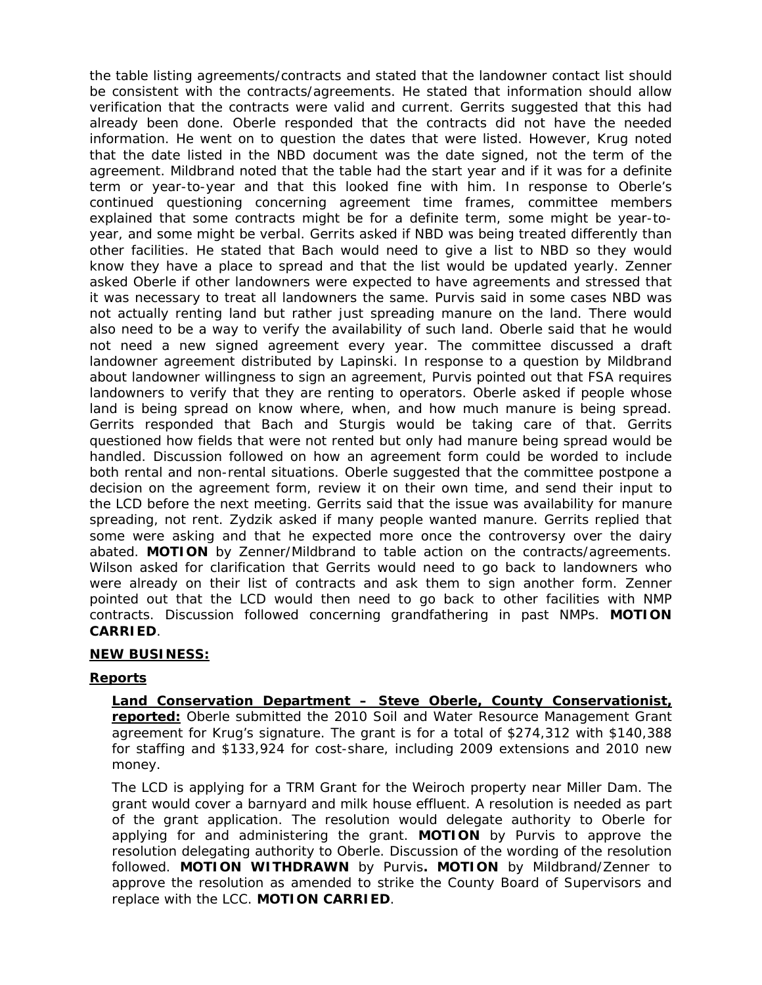the table listing agreements/contracts and stated that the landowner contact list should be consistent with the contracts/agreements. He stated that information should allow verification that the contracts were valid and current. Gerrits suggested that this had already been done. Oberle responded that the contracts did not have the needed information. He went on to question the dates that were listed. However, Krug noted that the date listed in the NBD document was the date signed, not the term of the agreement. Mildbrand noted that the table had the start year and if it was for a definite term or year-to-year and that this looked fine with him. In response to Oberle's continued questioning concerning agreement time frames, committee members explained that some contracts might be for a definite term, some might be year-toyear, and some might be verbal. Gerrits asked if NBD was being treated differently than other facilities. He stated that Bach would need to give a list to NBD so they would know they have a place to spread and that the list would be updated yearly. Zenner asked Oberle if other landowners were expected to have agreements and stressed that it was necessary to treat all landowners the same. Purvis said in some cases NBD was not actually renting land but rather just spreading manure on the land. There would also need to be a way to verify the availability of such land. Oberle said that he would not need a new signed agreement every year. The committee discussed a draft landowner agreement distributed by Lapinski. In response to a question by Mildbrand about landowner willingness to sign an agreement, Purvis pointed out that FSA requires landowners to verify that they are renting to operators. Oberle asked if people whose land is being spread on know where, when, and how much manure is being spread. Gerrits responded that Bach and Sturgis would be taking care of that. Gerrits questioned how fields that were not rented but only had manure being spread would be handled. Discussion followed on how an agreement form could be worded to include both rental and non-rental situations. Oberle suggested that the committee postpone a decision on the agreement form, review it on their own time, and send their input to the LCD before the next meeting. Gerrits said that the issue was availability for manure spreading, not rent. Zydzik asked if many people wanted manure. Gerrits replied that some were asking and that he expected more once the controversy over the dairy abated. **MOTION** by Zenner/Mildbrand to table action on the contracts/agreements. Wilson asked for clarification that Gerrits would need to go back to landowners who were already on their list of contracts and ask them to sign another form. Zenner pointed out that the LCD would then need to go back to other facilities with NMP contracts. Discussion followed concerning grandfathering in past NMPs. **MOTION CARRIED**.

# **NEW BUSINESS:**

# **Reports**

**Land Conservation Department – Steve Oberle, County Conservationist, reported:** Oberle submitted the 2010 Soil and Water Resource Management Grant agreement for Krug's signature. The grant is for a total of \$274,312 with \$140,388 for staffing and \$133,924 for cost-share, including 2009 extensions and 2010 new money.

The LCD is applying for a TRM Grant for the Weiroch property near Miller Dam. The grant would cover a barnyard and milk house effluent. A resolution is needed as part of the grant application. The resolution would delegate authority to Oberle for applying for and administering the grant. **MOTION** by Purvis to approve the resolution delegating authority to Oberle. Discussion of the wording of the resolution followed. **MOTION WITHDRAWN** by Purvis**. MOTION** by Mildbrand/Zenner to approve the resolution as amended to strike the County Board of Supervisors and replace with the LCC. **MOTION CARRIED**.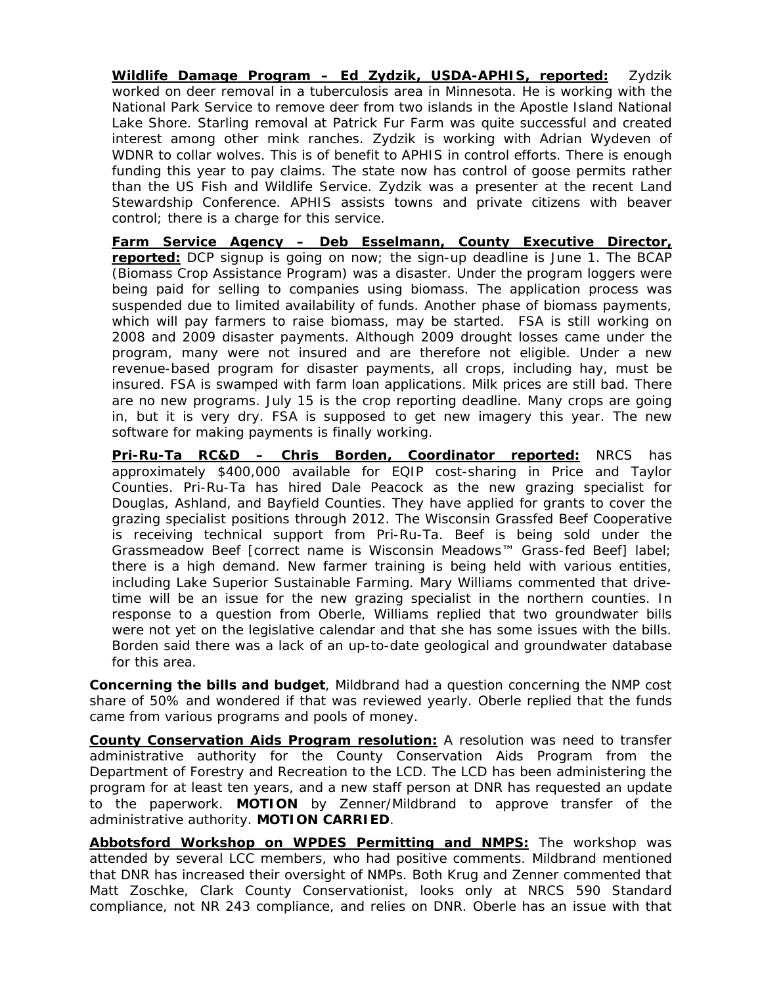**Wildlife Damage Program – Ed Zydzik, USDA-APHIS, reported:** Zydzik worked on deer removal in a tuberculosis area in Minnesota. He is working with the National Park Service to remove deer from two islands in the Apostle Island National Lake Shore. Starling removal at Patrick Fur Farm was quite successful and created interest among other mink ranches. Zydzik is working with Adrian Wydeven of WDNR to collar wolves. This is of benefit to APHIS in control efforts. There is enough funding this year to pay claims. The state now has control of goose permits rather than the US Fish and Wildlife Service. Zydzik was a presenter at the recent Land Stewardship Conference. APHIS assists towns and private citizens with beaver control; there is a charge for this service.

**Farm Service Agency – Deb Esselmann, County Executive Director, reported:** DCP signup is going on now; the sign-up deadline is June 1. The BCAP (Biomass Crop Assistance Program) was a disaster. Under the program loggers were being paid for selling to companies using biomass. The application process was suspended due to limited availability of funds. Another phase of biomass payments, which will pay farmers to raise biomass, may be started. FSA is still working on 2008 and 2009 disaster payments. Although 2009 drought losses came under the program, many were not insured and are therefore not eligible. Under a new revenue-based program for disaster payments, all crops, including hay, must be insured. FSA is swamped with farm loan applications. Milk prices are still bad. There are no new programs. July 15 is the crop reporting deadline. Many crops are going in, but it is very dry. FSA is supposed to get new imagery this year. The new software for making payments is finally working.

**Pri-Ru-Ta RC&D – Chris Borden, Coordinator reported:** NRCS has approximately \$400,000 available for EQIP cost-sharing in Price and Taylor Counties. Pri-Ru-Ta has hired Dale Peacock as the new grazing specialist for Douglas, Ashland, and Bayfield Counties. They have applied for grants to cover the grazing specialist positions through 2012. The Wisconsin Grassfed Beef Cooperative is receiving technical support from Pri-Ru-Ta. Beef is being sold under the Grassmeadow Beef [correct name is Wisconsin Meadows™ Grass-fed Beef] label; there is a high demand. New farmer training is being held with various entities, including Lake Superior Sustainable Farming. Mary Williams commented that drivetime will be an issue for the new grazing specialist in the northern counties. In response to a question from Oberle, Williams replied that two groundwater bills were not yet on the legislative calendar and that she has some issues with the bills. Borden said there was a lack of an up-to-date geological and groundwater database for this area.

**Concerning the bills and budget**, Mildbrand had a question concerning the NMP cost share of 50% and wondered if that was reviewed yearly. Oberle replied that the funds came from various programs and pools of money.

**County Conservation Aids Program resolution:** A resolution was need to transfer administrative authority for the County Conservation Aids Program from the Department of Forestry and Recreation to the LCD. The LCD has been administering the program for at least ten years, and a new staff person at DNR has requested an update to the paperwork. **MOTION** by Zenner/Mildbrand to approve transfer of the administrative authority. **MOTION CARRIED**.

**Abbotsford Workshop on WPDES Permitting and NMPS:** The workshop was attended by several LCC members, who had positive comments. Mildbrand mentioned that DNR has increased their oversight of NMPs. Both Krug and Zenner commented that Matt Zoschke, Clark County Conservationist, looks only at NRCS 590 Standard compliance, not NR 243 compliance, and relies on DNR. Oberle has an issue with that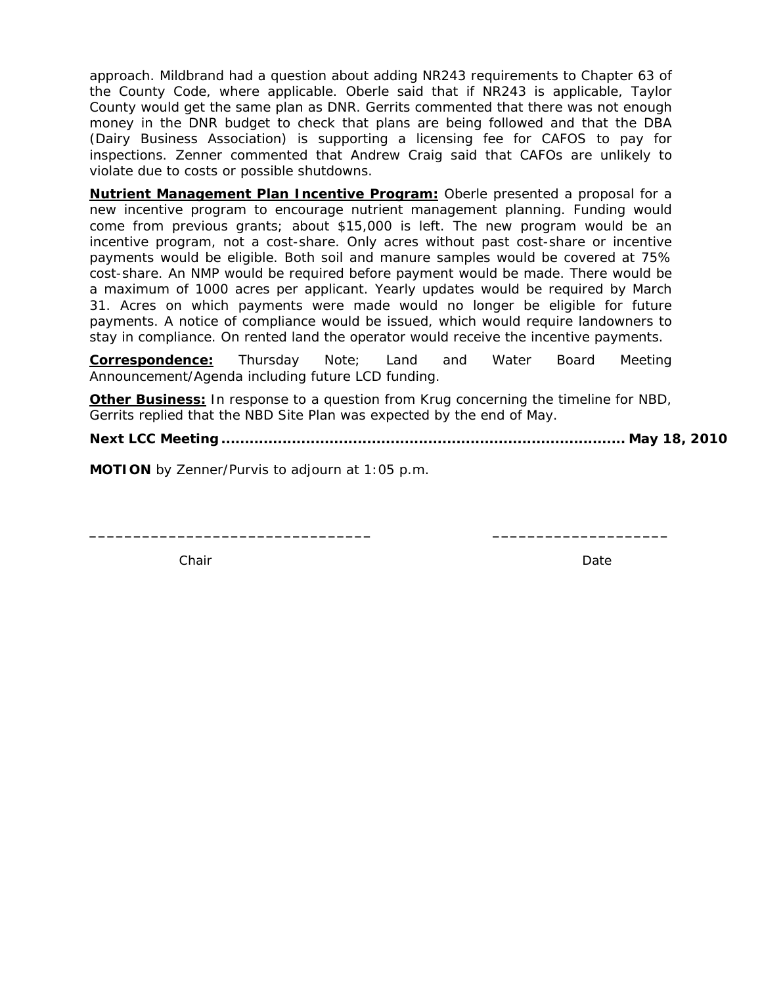approach. Mildbrand had a question about adding NR243 requirements to Chapter 63 of the County Code, where applicable. Oberle said that if NR243 is applicable, Taylor County would get the same plan as DNR. Gerrits commented that there was not enough money in the DNR budget to check that plans are being followed and that the DBA (Dairy Business Association) is supporting a licensing fee for CAFOS to pay for inspections. Zenner commented that Andrew Craig said that CAFOs are unlikely to violate due to costs or possible shutdowns.

**Nutrient Management Plan Incentive Program:** Oberle presented a proposal for a new incentive program to encourage nutrient management planning. Funding would come from previous grants; about \$15,000 is left. The new program would be an incentive program, not a cost-share. Only acres without past cost-share or incentive payments would be eligible. Both soil and manure samples would be covered at 75% cost-share. An NMP would be required before payment would be made. There would be a maximum of 1000 acres per applicant. Yearly updates would be required by March 31. Acres on which payments were made would no longer be eligible for future payments. A notice of compliance would be issued, which would require landowners to stay in compliance. On rented land the operator would receive the incentive payments.

**Correspondence:** *Thursday Note*; Land and Water Board Meeting Announcement/Agenda including future LCD funding.

**Other Business:** In response to a question from Krug concerning the timeline for NBD, Gerrits replied that the NBD Site Plan was expected by the end of May.

**\_\_\_\_\_\_\_\_\_\_\_\_\_\_\_\_\_\_\_\_\_\_\_\_\_\_\_\_\_\_\_\_ \_\_\_\_\_\_\_\_\_\_\_\_\_\_\_\_\_\_\_\_** 

**Next LCC Meeting ...................................................................................... May 18, 2010** 

**MOTION** by Zenner/Purvis to adjourn at 1:05 p.m.

**Chair** Date **Chair** Date **Date 2019**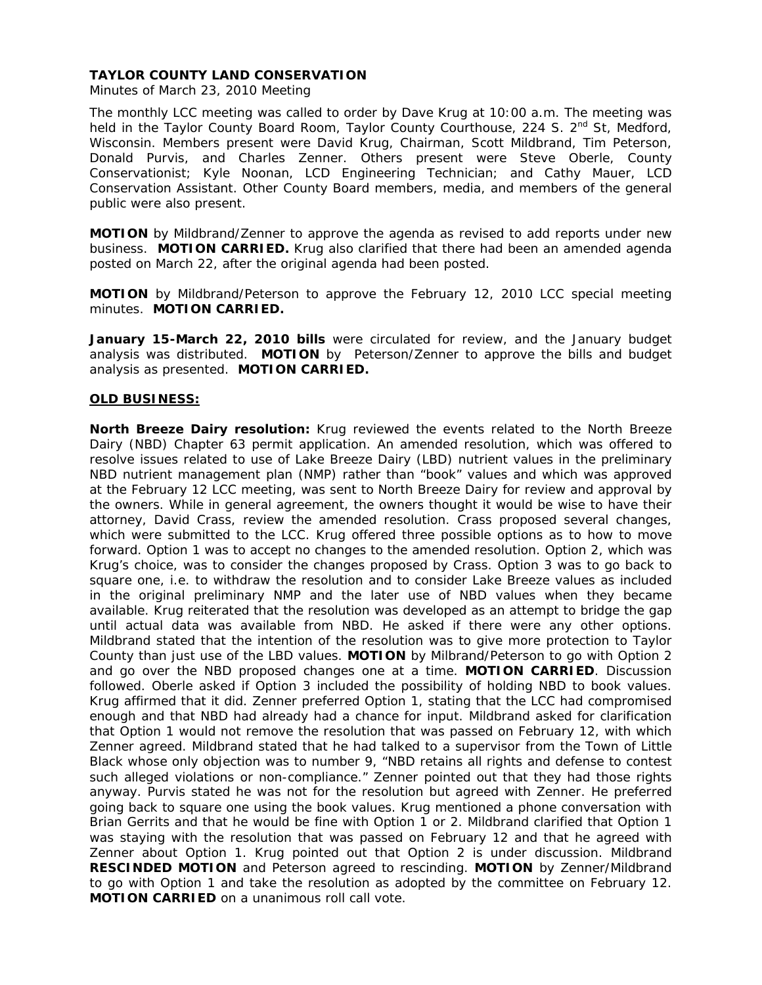Minutes of March 23, 2010 Meeting

The monthly LCC meeting was called to order by Dave Krug at 10:00 a.m. The meeting was held in the Taylor County Board Room, Taylor County Courthouse, 224 S.  $2^{nd}$  St, Medford, Wisconsin. Members present were David Krug, Chairman, Scott Mildbrand, Tim Peterson, Donald Purvis, and Charles Zenner. Others present were Steve Oberle, County Conservationist; Kyle Noonan, LCD Engineering Technician; and Cathy Mauer, LCD Conservation Assistant. Other County Board members, media, and members of the general public were also present.

**MOTION** by Mildbrand/Zenner to approve the agenda as revised to add reports under new business. **MOTION CARRIED.** Krug also clarified that there had been an amended agenda posted on March 22, after the original agenda had been posted.

**MOTION** by Mildbrand/Peterson to approve the February 12, 2010 LCC special meeting minutes. **MOTION CARRIED.** 

**January 15-March 22, 2010 bills** were circulated for review, and the January budget analysis was distributed. **MOTION** by Peterson/Zenner to approve the bills and budget analysis as presented. **MOTION CARRIED.**

## **OLD BUSINESS:**

**North Breeze Dairy resolution:** Krug reviewed the events related to the North Breeze Dairy (NBD) Chapter 63 permit application. An amended resolution, which was offered to resolve issues related to use of Lake Breeze Dairy (LBD) nutrient values in the preliminary NBD nutrient management plan (NMP) rather than "book" values and which was approved at the February 12 LCC meeting, was sent to North Breeze Dairy for review and approval by the owners. While in general agreement, the owners thought it would be wise to have their attorney, David Crass, review the amended resolution. Crass proposed several changes, which were submitted to the LCC. Krug offered three possible options as to how to move forward. Option 1 was to accept no changes to the amended resolution. Option 2, which was Krug's choice, was to consider the changes proposed by Crass. Option 3 was to go back to square one, i.e. to withdraw the resolution and to consider Lake Breeze values as included in the original preliminary NMP and the later use of NBD values when they became available. Krug reiterated that the resolution was developed as an attempt to bridge the gap until actual data was available from NBD. He asked if there were any other options. Mildbrand stated that the intention of the resolution was to give more protection to Taylor County than just use of the LBD values. **MOTION** by Milbrand/Peterson to go with Option 2 and go over the NBD proposed changes one at a time. **MOTION CARRIED**. Discussion followed. Oberle asked if Option 3 included the possibility of holding NBD to book values. Krug affirmed that it did. Zenner preferred Option 1, stating that the LCC had compromised enough and that NBD had already had a chance for input. Mildbrand asked for clarification that Option 1 would not remove the resolution that was passed on February 12, with which Zenner agreed. Mildbrand stated that he had talked to a supervisor from the Town of Little Black whose only objection was to number 9, "NBD retains all rights and defense to contest such alleged violations or non-compliance." Zenner pointed out that they had those rights anyway. Purvis stated he was not for the resolution but agreed with Zenner. He preferred going back to square one using the book values. Krug mentioned a phone conversation with Brian Gerrits and that he would be fine with Option 1 or 2. Mildbrand clarified that Option 1 was staying with the resolution that was passed on February 12 and that he agreed with Zenner about Option 1. Krug pointed out that Option 2 is under discussion. Mildbrand **RESCINDED MOTION** and Peterson agreed to rescinding. **MOTION** by Zenner/Mildbrand to go with Option 1 and take the resolution as adopted by the committee on February 12. **MOTION CARRIED** on a unanimous roll call vote.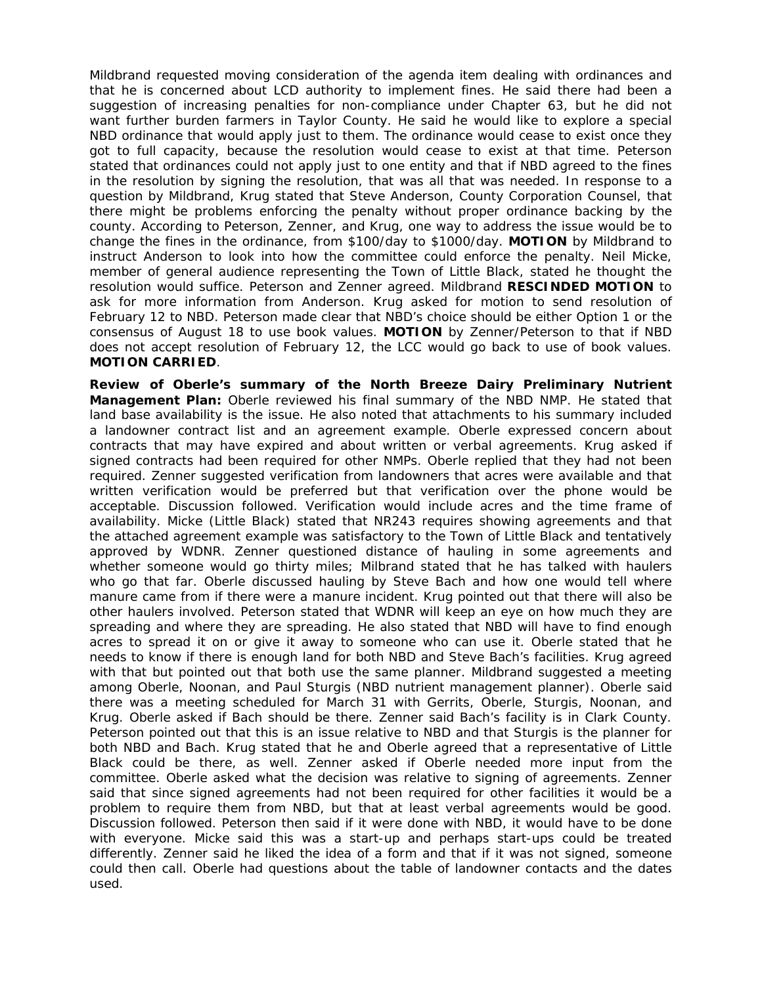Mildbrand requested moving consideration of the agenda item dealing with ordinances and that he is concerned about LCD authority to implement fines. He said there had been a suggestion of increasing penalties for non-compliance under Chapter 63, but he did not want further burden farmers in Taylor County. He said he would like to explore a special NBD ordinance that would apply just to them. The ordinance would cease to exist once they got to full capacity, because the resolution would cease to exist at that time. Peterson stated that ordinances could not apply just to one entity and that if NBD agreed to the fines in the resolution by signing the resolution, that was all that was needed. In response to a question by Mildbrand, Krug stated that Steve Anderson, County Corporation Counsel, that there might be problems enforcing the penalty without proper ordinance backing by the county. According to Peterson, Zenner, and Krug, one way to address the issue would be to change the fines in the ordinance, from \$100/day to \$1000/day. **MOTION** by Mildbrand to instruct Anderson to look into how the committee could enforce the penalty. Neil Micke, member of general audience representing the Town of Little Black, stated he thought the resolution would suffice. Peterson and Zenner agreed. Mildbrand **RESCINDED MOTION** to ask for more information from Anderson. Krug asked for motion to send resolution of February 12 to NBD. Peterson made clear that NBD's choice should be either Option 1 or the consensus of August 18 to use book values. **MOTION** by Zenner/Peterson to that if NBD does not accept resolution of February 12, the LCC would go back to use of book values. **MOTION CARRIED**.

**Review of Oberle's summary of the North Breeze Dairy Preliminary Nutrient Management Plan:** Oberle reviewed his final summary of the NBD NMP. He stated that land base availability is the issue. He also noted that attachments to his summary included a landowner contract list and an agreement example. Oberle expressed concern about contracts that may have expired and about written or verbal agreements. Krug asked if signed contracts had been required for other NMPs. Oberle replied that they had not been required. Zenner suggested verification from landowners that acres were available and that written verification would be preferred but that verification over the phone would be acceptable. Discussion followed. Verification would include acres and the time frame of availability. Micke (Little Black) stated that NR243 requires showing agreements and that the attached agreement example was satisfactory to the Town of Little Black and tentatively approved by WDNR. Zenner questioned distance of hauling in some agreements and whether someone would go thirty miles; Milbrand stated that he has talked with haulers who go that far. Oberle discussed hauling by Steve Bach and how one would tell where manure came from if there were a manure incident. Krug pointed out that there will also be other haulers involved. Peterson stated that WDNR will keep an eye on how much they are spreading and where they are spreading. He also stated that NBD will have to find enough acres to spread it on or give it away to someone who can use it. Oberle stated that he needs to know if there is enough land for both NBD and Steve Bach's facilities. Krug agreed with that but pointed out that both use the same planner. Mildbrand suggested a meeting among Oberle, Noonan, and Paul Sturgis (NBD nutrient management planner). Oberle said there was a meeting scheduled for March 31 with Gerrits, Oberle, Sturgis, Noonan, and Krug. Oberle asked if Bach should be there. Zenner said Bach's facility is in Clark County. Peterson pointed out that this is an issue relative to NBD and that Sturgis is the planner for both NBD and Bach. Krug stated that he and Oberle agreed that a representative of Little Black could be there, as well. Zenner asked if Oberle needed more input from the committee. Oberle asked what the decision was relative to signing of agreements. Zenner said that since signed agreements had not been required for other facilities it would be a problem to require them from NBD, but that at least verbal agreements would be good. Discussion followed. Peterson then said if it were done with NBD, it would have to be done with everyone. Micke said this was a start-up and perhaps start-ups could be treated differently. Zenner said he liked the idea of a form and that if it was not signed, someone could then call. Oberle had questions about the table of landowner contacts and the dates used.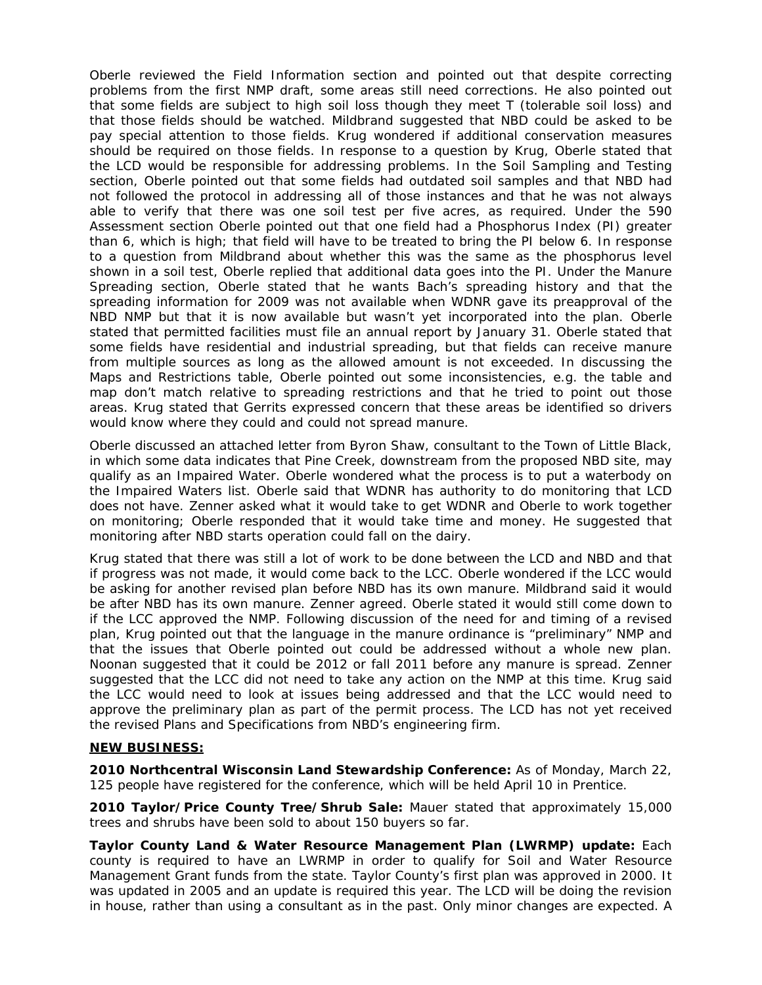Oberle reviewed the Field Information section and pointed out that despite correcting problems from the first NMP draft, some areas still need corrections. He also pointed out that some fields are subject to high soil loss though they meet T (tolerable soil loss) and that those fields should be watched. Mildbrand suggested that NBD could be asked to be pay special attention to those fields. Krug wondered if additional conservation measures should be required on those fields. In response to a question by Krug, Oberle stated that the LCD would be responsible for addressing problems. In the Soil Sampling and Testing section, Oberle pointed out that some fields had outdated soil samples and that NBD had not followed the protocol in addressing all of those instances and that he was not always able to verify that there was one soil test per five acres, as required. Under the 590 Assessment section Oberle pointed out that one field had a Phosphorus Index (PI) greater than 6, which is high; that field will have to be treated to bring the PI below 6. In response to a question from Mildbrand about whether this was the same as the phosphorus level shown in a soil test, Oberle replied that additional data goes into the PI. Under the Manure Spreading section, Oberle stated that he wants Bach's spreading history and that the spreading information for 2009 was not available when WDNR gave its preapproval of the NBD NMP but that it is now available but wasn't yet incorporated into the plan. Oberle stated that permitted facilities must file an annual report by January 31. Oberle stated that some fields have residential and industrial spreading, but that fields can receive manure from multiple sources as long as the allowed amount is not exceeded. In discussing the Maps and Restrictions table, Oberle pointed out some inconsistencies, e.g. the table and map don't match relative to spreading restrictions and that he tried to point out those areas. Krug stated that Gerrits expressed concern that these areas be identified so drivers would know where they could and could not spread manure.

Oberle discussed an attached letter from Byron Shaw, consultant to the Town of Little Black, in which some data indicates that Pine Creek, downstream from the proposed NBD site, may qualify as an Impaired Water. Oberle wondered what the process is to put a waterbody on the Impaired Waters list. Oberle said that WDNR has authority to do monitoring that LCD does not have. Zenner asked what it would take to get WDNR and Oberle to work together on monitoring; Oberle responded that it would take time and money. He suggested that monitoring after NBD starts operation could fall on the dairy.

Krug stated that there was still a lot of work to be done between the LCD and NBD and that if progress was not made, it would come back to the LCC. Oberle wondered if the LCC would be asking for another revised plan before NBD has its own manure. Mildbrand said it would be after NBD has its own manure. Zenner agreed. Oberle stated it would still come down to if the LCC approved the NMP. Following discussion of the need for and timing of a revised plan, Krug pointed out that the language in the manure ordinance is "preliminary" NMP and that the issues that Oberle pointed out could be addressed without a whole new plan. Noonan suggested that it could be 2012 or fall 2011 before any manure is spread. Zenner suggested that the LCC did not need to take any action on the NMP at this time. Krug said the LCC would need to look at issues being addressed and that the LCC would need to approve the preliminary plan as part of the permit process. The LCD has not yet received the revised Plans and Specifications from NBD's engineering firm.

## **NEW BUSINESS:**

**2010 Northcentral Wisconsin Land Stewardship Conference:** As of Monday, March 22, 125 people have registered for the conference, which will be held April 10 in Prentice.

**2010 Taylor/Price County Tree/Shrub Sale:** Mauer stated that approximately 15,000 trees and shrubs have been sold to about 150 buyers so far.

**Taylor County Land & Water Resource Management Plan (LWRMP) update:** Each county is required to have an LWRMP in order to qualify for Soil and Water Resource Management Grant funds from the state. Taylor County's first plan was approved in 2000. It was updated in 2005 and an update is required this year. The LCD will be doing the revision in house, rather than using a consultant as in the past. Only minor changes are expected. A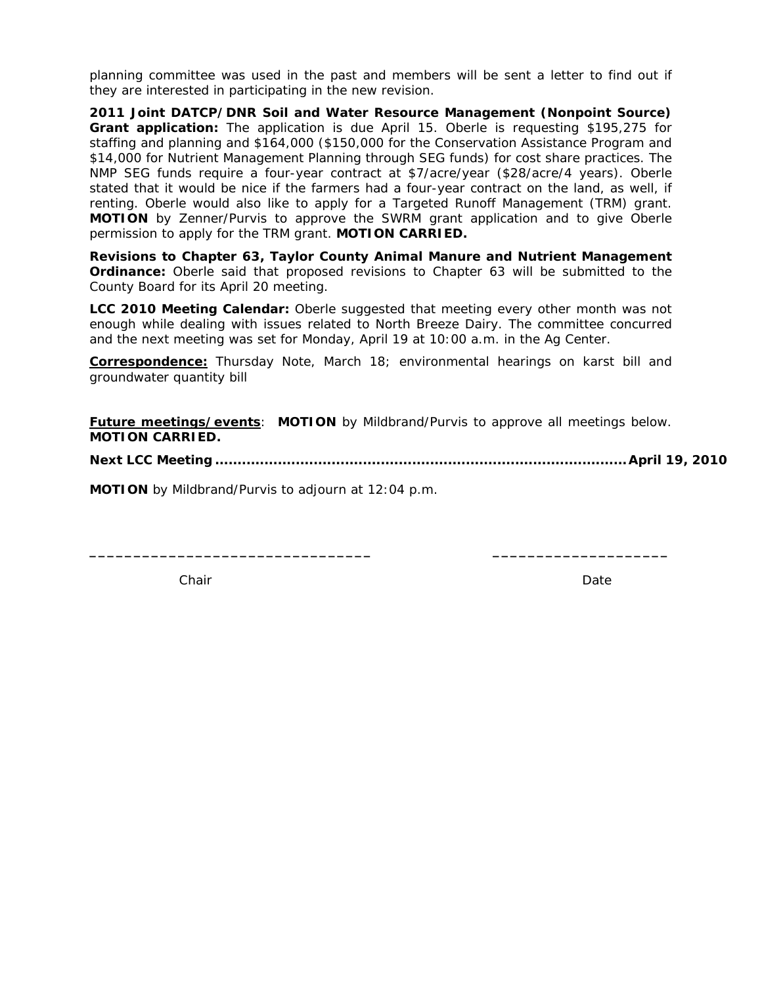planning committee was used in the past and members will be sent a letter to find out if they are interested in participating in the new revision.

**2011 Joint DATCP/DNR Soil and Water Resource Management (Nonpoint Source) Grant application:** The application is due April 15. Oberle is requesting \$195,275 for staffing and planning and \$164,000 (\$150,000 for the Conservation Assistance Program and \$14,000 for Nutrient Management Planning through SEG funds) for cost share practices. The NMP SEG funds require a four-year contract at \$7/acre/year (\$28/acre/4 years). Oberle stated that it would be nice if the farmers had a four-year contract on the land, as well, if renting. Oberle would also like to apply for a Targeted Runoff Management (TRM) grant. **MOTION** by Zenner/Purvis to approve the SWRM grant application and to give Oberle permission to apply for the TRM grant. **MOTION CARRIED.** 

**Revisions to Chapter 63, Taylor County Animal Manure and Nutrient Management Ordinance:** Oberle said that proposed revisions to Chapter 63 will be submitted to the County Board for its April 20 meeting.

**LCC 2010 Meeting Calendar:** Oberle suggested that meeting every other month was not enough while dealing with issues related to North Breeze Dairy. The committee concurred and the next meeting was set for Monday, April 19 at 10:00 a.m. in the Ag Center.

**Correspondence:** *Thursday Note*, March 18; environmental hearings on karst bill and groundwater quantity bill

**Future meetings/events**: **MOTION** by Mildbrand/Purvis to approve all meetings below. **MOTION CARRIED.** 

**\_\_\_\_\_\_\_\_\_\_\_\_\_\_\_\_\_\_\_\_\_\_\_\_\_\_\_\_\_\_\_\_ \_\_\_\_\_\_\_\_\_\_\_\_\_\_\_\_\_\_\_\_** 

**Next LCC Meeting ............................................................................................ April 19, 2010** 

**MOTION** by Mildbrand/Purvis to adjourn at 12:04 p.m.

**Chair Date of the Chair Date of the Chair Date of the Chair Date of the Date of the Date of the Date of the Date of the Date of the Date of the Date of the Date of the Date of the Date of the Date of the Date of the Date**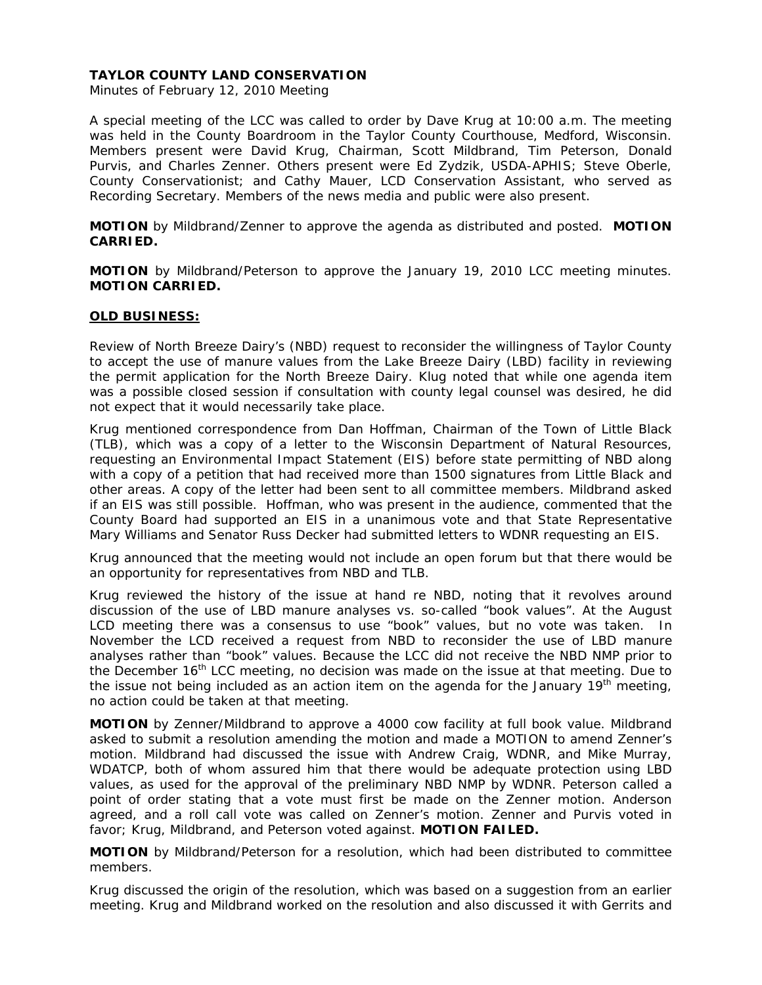Minutes of February 12, 2010 Meeting

A special meeting of the LCC was called to order by Dave Krug at 10:00 a.m. The meeting was held in the County Boardroom in the Taylor County Courthouse, Medford, Wisconsin. Members present were David Krug, Chairman, Scott Mildbrand, Tim Peterson, Donald Purvis, and Charles Zenner. Others present were Ed Zydzik, USDA-APHIS; Steve Oberle, County Conservationist; and Cathy Mauer, LCD Conservation Assistant, who served as Recording Secretary. Members of the news media and public were also present.

**MOTION** by Mildbrand/Zenner to approve the agenda as distributed and posted. **MOTION CARRIED.**

**MOTION** by Mildbrand/Peterson to approve the January 19, 2010 LCC meeting minutes. **MOTION CARRIED.** 

## **OLD BUSINESS:**

Review of North Breeze Dairy's (NBD) request to reconsider the willingness of Taylor County to accept the use of manure values from the Lake Breeze Dairy (LBD) facility in reviewing the permit application for the North Breeze Dairy. Klug noted that while one agenda item was a possible closed session if consultation with county legal counsel was desired, he did not expect that it would necessarily take place.

Krug mentioned correspondence from Dan Hoffman, Chairman of the Town of Little Black (TLB), which was a copy of a letter to the Wisconsin Department of Natural Resources, requesting an Environmental Impact Statement (EIS) before state permitting of NBD along with a copy of a petition that had received more than 1500 signatures from Little Black and other areas. A copy of the letter had been sent to all committee members. Mildbrand asked if an EIS was still possible. Hoffman, who was present in the audience, commented that the County Board had supported an EIS in a unanimous vote and that State Representative Mary Williams and Senator Russ Decker had submitted letters to WDNR requesting an EIS.

Krug announced that the meeting would not include an open forum but that there would be an opportunity for representatives from NBD and TLB.

Krug reviewed the history of the issue at hand re NBD, noting that it revolves around discussion of the use of LBD manure analyses vs. so-called "book values". At the August LCD meeting there was a consensus to use "book" values, but no vote was taken. In November the LCD received a request from NBD to reconsider the use of LBD manure analyses rather than "book" values. Because the LCC did not receive the NBD NMP prior to the December 16<sup>th</sup> LCC meeting, no decision was made on the issue at that meeting. Due to the issue not being included as an action item on the agenda for the January  $19<sup>th</sup>$  meeting, no action could be taken at that meeting.

**MOTION** by Zenner/Mildbrand to approve a 4000 cow facility at full book value. Mildbrand asked to submit a resolution amending the motion and made a MOTION to amend Zenner's motion. Mildbrand had discussed the issue with Andrew Craig, WDNR, and Mike Murray, WDATCP, both of whom assured him that there would be adequate protection using LBD values, as used for the approval of the preliminary NBD NMP by WDNR. Peterson called a point of order stating that a vote must first be made on the Zenner motion. Anderson agreed, and a roll call vote was called on Zenner's motion. Zenner and Purvis voted in favor; Krug, Mildbrand, and Peterson voted against. **MOTION FAILED.** 

**MOTION** by Mildbrand/Peterson for a resolution, which had been distributed to committee members.

Krug discussed the origin of the resolution, which was based on a suggestion from an earlier meeting. Krug and Mildbrand worked on the resolution and also discussed it with Gerrits and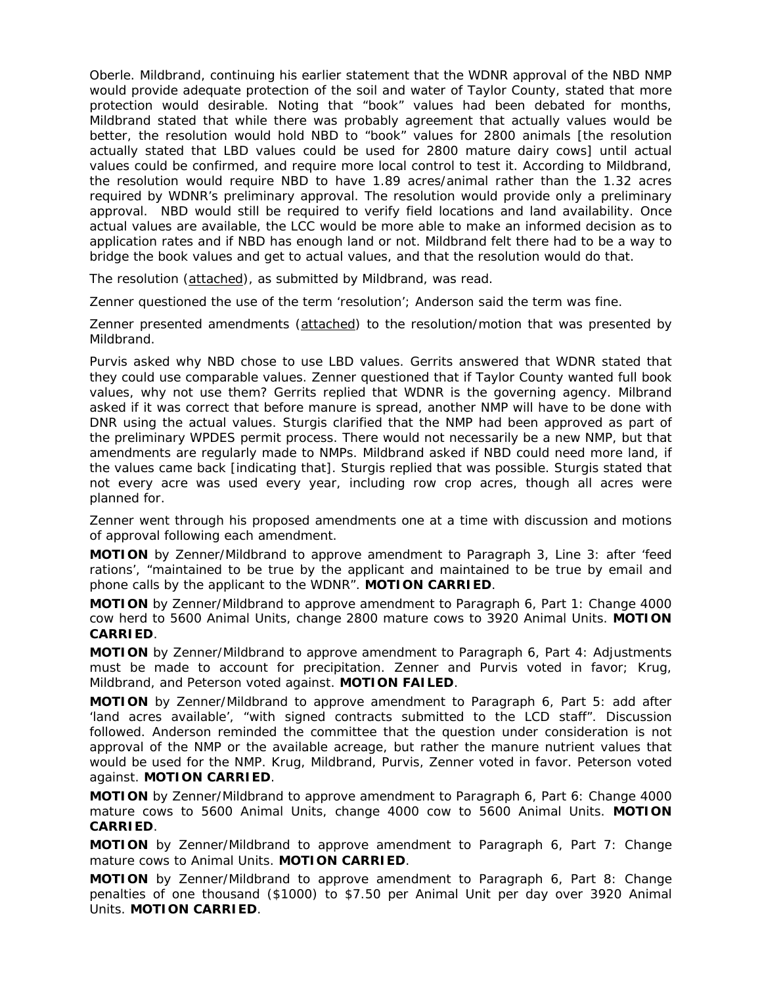Oberle. Mildbrand, continuing his earlier statement that the WDNR approval of the NBD NMP would provide adequate protection of the soil and water of Taylor County, stated that more protection would desirable. Noting that "book" values had been debated for months, Mildbrand stated that while there was probably agreement that actually values would be better, the resolution would hold NBD to "book" values for 2800 animals [the resolution actually stated that LBD values could be used for 2800 mature dairy cows] until actual values could be confirmed, and require more local control to test it. According to Mildbrand, the resolution would require NBD to have 1.89 acres/animal rather than the 1.32 acres required by WDNR's preliminary approval. The resolution would provide only a preliminary approval. NBD would still be required to verify field locations and land availability. Once actual values are available, the LCC would be more able to make an informed decision as to application rates and if NBD has enough land or not. Mildbrand felt there had to be a way to bridge the book values and get to actual values, and that the resolution would do that.

The resolution (attached), as submitted by Mildbrand, was read.

Zenner questioned the use of the term 'resolution'; Anderson said the term was fine.

Zenner presented amendments (attached) to the resolution/motion that was presented by Mildbrand.

Purvis asked why NBD chose to use LBD values. Gerrits answered that WDNR stated that they could use comparable values. Zenner questioned that if Taylor County wanted full book values, why not use them? Gerrits replied that WDNR is the governing agency. Milbrand asked if it was correct that before manure is spread, another NMP will have to be done with DNR using the actual values. Sturgis clarified that the NMP had been approved as part of the preliminary WPDES permit process. There would not necessarily be a new NMP, but that amendments are regularly made to NMPs. Mildbrand asked if NBD could need more land, if the values came back [indicating that]. Sturgis replied that was possible. Sturgis stated that not every acre was used every year, including row crop acres, though all acres were planned for.

Zenner went through his proposed amendments one at a time with discussion and motions of approval following each amendment.

**MOTION** by Zenner/Mildbrand to approve amendment to Paragraph 3, Line 3: *after 'feed rations', "maintained to be true by the applicant and maintained to be true by email and phone calls by the applicant to the WDNR".* **MOTION CARRIED**.

**MOTION** by Zenner/Mildbrand to approve amendment to Paragraph 6, Part 1: *Change 4000 cow herd to 5600 Animal Units, change 2800 mature cows to 3920 Animal Units.* **MOTION CARRIED**.

**MOTION** by Zenner/Mildbrand to approve amendment to Paragraph 6, Part 4: *Adjustments must be made to account for precipitation.* Zenner and Purvis voted in favor; Krug, Mildbrand, and Peterson voted against. **MOTION FAILED**.

**MOTION** by Zenner/Mildbrand to approve amendment to Paragraph 6, Part 5: *add after 'land acres available', "with signed contracts submitted to the LCD staff"*. Discussion followed. Anderson reminded the committee that the question under consideration is not approval of the NMP or the available acreage, but rather the manure nutrient values that would be used for the NMP. Krug, Mildbrand, Purvis, Zenner voted in favor. Peterson voted against. **MOTION CARRIED**.

**MOTION** by Zenner/Mildbrand to approve amendment to Paragraph 6, Part 6: *Change 4000 mature cows to 5600 Animal Units, change 4000 cow to 5600 Animal Units.* **MOTION CARRIED**.

**MOTION** by Zenner/Mildbrand to approve amendment to Paragraph 6, Part 7: *Change mature cows to Animal Units.* **MOTION CARRIED**.

**MOTION** by Zenner/Mildbrand to approve amendment to Paragraph 6, Part 8: *Change penalties of one thousand (\$1000) to \$7.50 per Animal Unit per day over 3920 Animal Units.* **MOTION CARRIED**.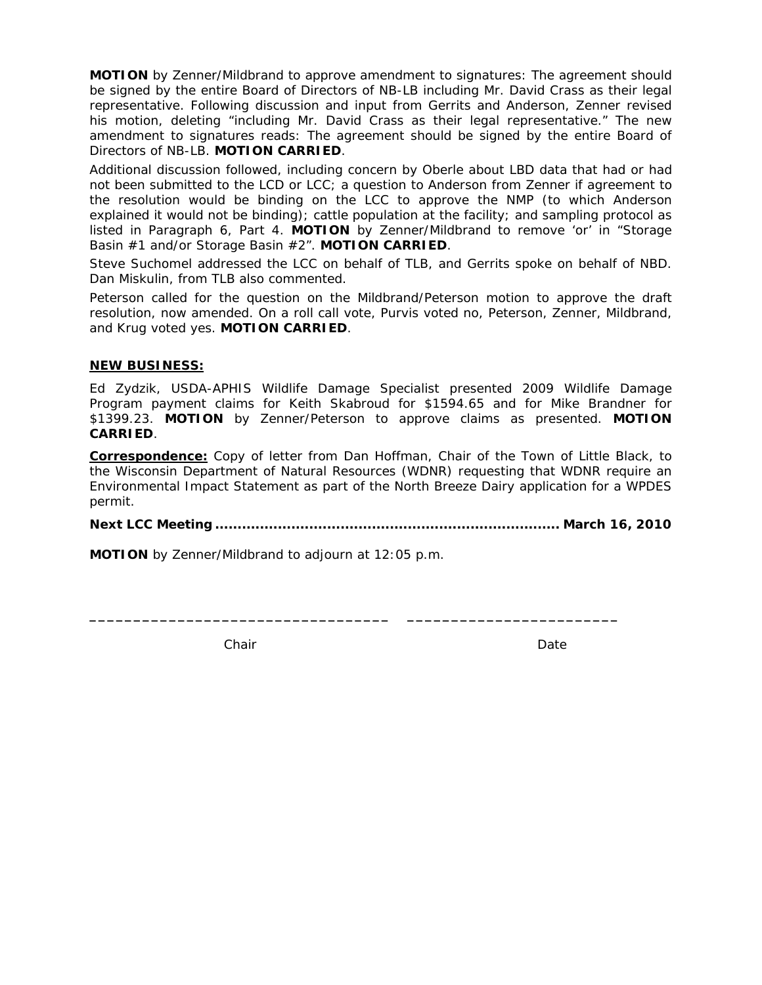**MOTION** by Zenner/Mildbrand to approve amendment to signatures: *The agreement should be signed by the entire Board of Directors of NB-LB including Mr. David Crass as their legal representative.* Following discussion and input from Gerrits and Anderson, Zenner revised his motion, deleting "*including Mr. David Crass as their legal representative*." The new amendment to signatures reads: *The agreement should be signed by the entire Board of Directors of NB-LB.* **MOTION CARRIED**.

Additional discussion followed, including concern by Oberle about LBD data that had or had not been submitted to the LCD or LCC; a question to Anderson from Zenner if agreement to the resolution would be binding on the LCC to approve the NMP (to which Anderson explained it would not be binding); cattle population at the facility; and sampling protocol as listed in Paragraph 6, Part 4. **MOTION** by Zenner/Mildbrand to remove 'or' in "*Storage Basin #1 and/or Storage Basin #2"*. **MOTION CARRIED**.

Steve Suchomel addressed the LCC on behalf of TLB, and Gerrits spoke on behalf of NBD. Dan Miskulin, from TLB also commented.

Peterson called for the question on the Mildbrand/Peterson motion to approve the draft resolution, now amended. On a roll call vote, Purvis voted no, Peterson, Zenner, Mildbrand, and Krug voted yes. **MOTION CARRIED**.

# **NEW BUSINESS:**

Ed Zydzik, USDA-APHIS Wildlife Damage Specialist presented 2009 Wildlife Damage Program payment claims for Keith Skabroud for \$1594.65 and for Mike Brandner for \$1399.23. **MOTION** by Zenner/Peterson to approve claims as presented. **MOTION CARRIED**.

**Correspondence:** Copy of letter from Dan Hoffman, Chair of the Town of Little Black, to the Wisconsin Department of Natural Resources (WDNR) requesting that WDNR require an Environmental Impact Statement as part of the North Breeze Dairy application for a WPDES permit.

**Next LCC Meeting ............................................................................. March 16, 2010** 

**\_\_\_\_\_\_\_\_\_\_\_\_\_\_\_\_\_\_\_\_\_\_\_\_\_\_\_\_\_\_\_\_\_\_ \_\_\_\_\_\_\_\_\_\_\_\_\_\_\_\_\_\_\_\_\_\_\_\_** 

**MOTION** by Zenner/Mildbrand to adjourn at 12:05 p.m.

Chair **Date** Date **Date** Date **Date**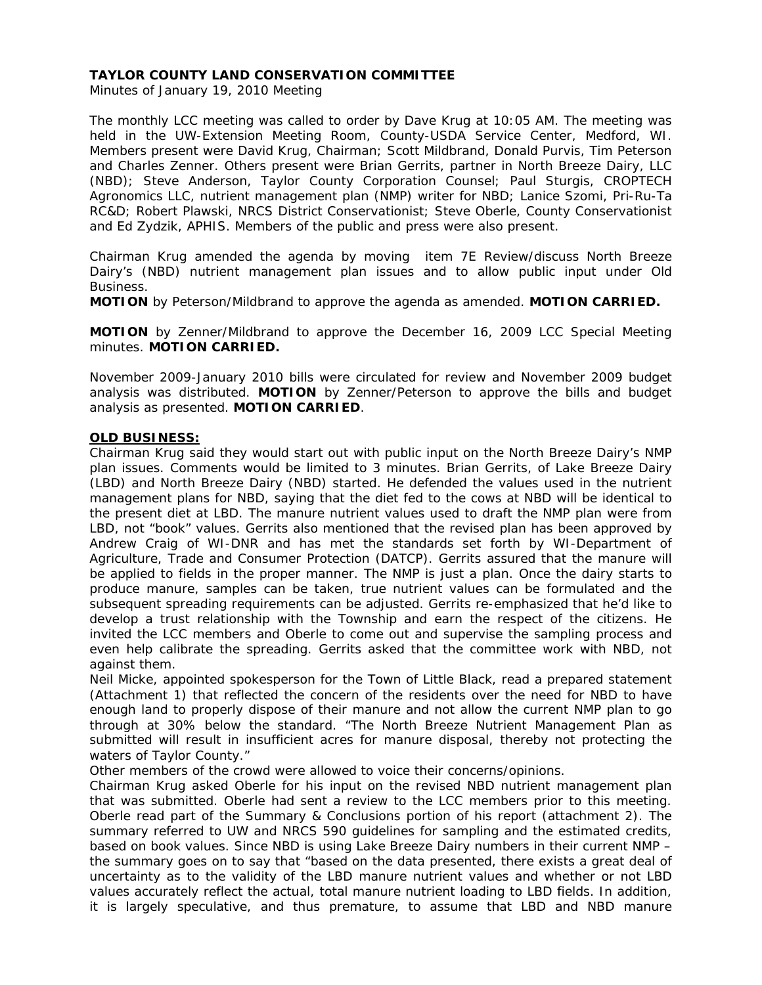# **TAYLOR COUNTY LAND CONSERVATION COMMITTEE**

Minutes of January 19, 2010 Meeting

The monthly LCC meeting was called to order by Dave Krug at 10:05 AM. The meeting was held in the UW-Extension Meeting Room, County-USDA Service Center, Medford, WI. Members present were David Krug, Chairman; Scott Mildbrand, Donald Purvis, Tim Peterson and Charles Zenner. Others present were Brian Gerrits, partner in North Breeze Dairy, LLC (NBD); Steve Anderson, Taylor County Corporation Counsel; Paul Sturgis, CROPTECH Agronomics LLC, nutrient management plan (NMP) writer for NBD; Lanice Szomi, Pri-Ru-Ta RC&D; Robert Plawski, NRCS District Conservationist; Steve Oberle, County Conservationist and Ed Zydzik, APHIS. Members of the public and press were also present.

Chairman Krug amended the agenda by moving item 7E Review/discuss North Breeze Dairy's (NBD) nutrient management plan issues and to allow public input under Old Business.

**MOTION** by Peterson/Mildbrand to approve the agenda as amended. **MOTION CARRIED.** 

**MOTION** by Zenner/Mildbrand to approve the December 16, 2009 LCC Special Meeting minutes. **MOTION CARRIED.**

November 2009-January 2010 bills were circulated for review and November 2009 budget analysis was distributed. **MOTION** by Zenner/Peterson to approve the bills and budget analysis as presented. **MOTION CARRIED**.

# **OLD BUSINESS:**

Chairman Krug said they would start out with public input on the North Breeze Dairy's NMP plan issues. Comments would be limited to 3 minutes. Brian Gerrits, of Lake Breeze Dairy (LBD) and North Breeze Dairy (NBD) started. He defended the values used in the nutrient management plans for NBD, saying that the diet fed to the cows at NBD will be identical to the present diet at LBD. The manure nutrient values used to draft the NMP plan were from LBD, not "book" values. Gerrits also mentioned that the revised plan has been approved by Andrew Craig of WI-DNR and has met the standards set forth by WI-Department of Agriculture, Trade and Consumer Protection (DATCP). Gerrits assured that the manure will be applied to fields in the proper manner. The NMP is just a plan. Once the dairy starts to produce manure, samples can be taken, true nutrient values can be formulated and the subsequent spreading requirements can be adjusted. Gerrits re-emphasized that he'd like to develop a trust relationship with the Township and earn the respect of the citizens. He invited the LCC members and Oberle to come out and supervise the sampling process and even help calibrate the spreading. Gerrits asked that the committee work with NBD, not against them.

Neil Micke, appointed spokesperson for the Town of Little Black, read a prepared statement (Attachment 1) that reflected the concern of the residents over the need for NBD to have enough land to properly dispose of their manure and not allow the current NMP plan to go through at 30% below the standard. "The North Breeze Nutrient Management Plan as submitted will result in insufficient acres for manure disposal, thereby not protecting the waters of Taylor County."

Other members of the crowd were allowed to voice their concerns/opinions.

Chairman Krug asked Oberle for his input on the revised NBD nutrient management plan that was submitted. Oberle had sent a review to the LCC members prior to this meeting. Oberle read part of the Summary & Conclusions portion of his report (attachment 2). The summary referred to UW and NRCS 590 guidelines for sampling and the estimated credits, based on book values. Since NBD is using Lake Breeze Dairy numbers in their current NMP – the summary goes on to say that "based on the data presented, there exists a great deal of uncertainty as to the validity of the LBD manure nutrient values and whether or not LBD values accurately reflect the actual, total manure nutrient loading to LBD fields. In addition, it is largely speculative, and thus premature, to assume that LBD and NBD manure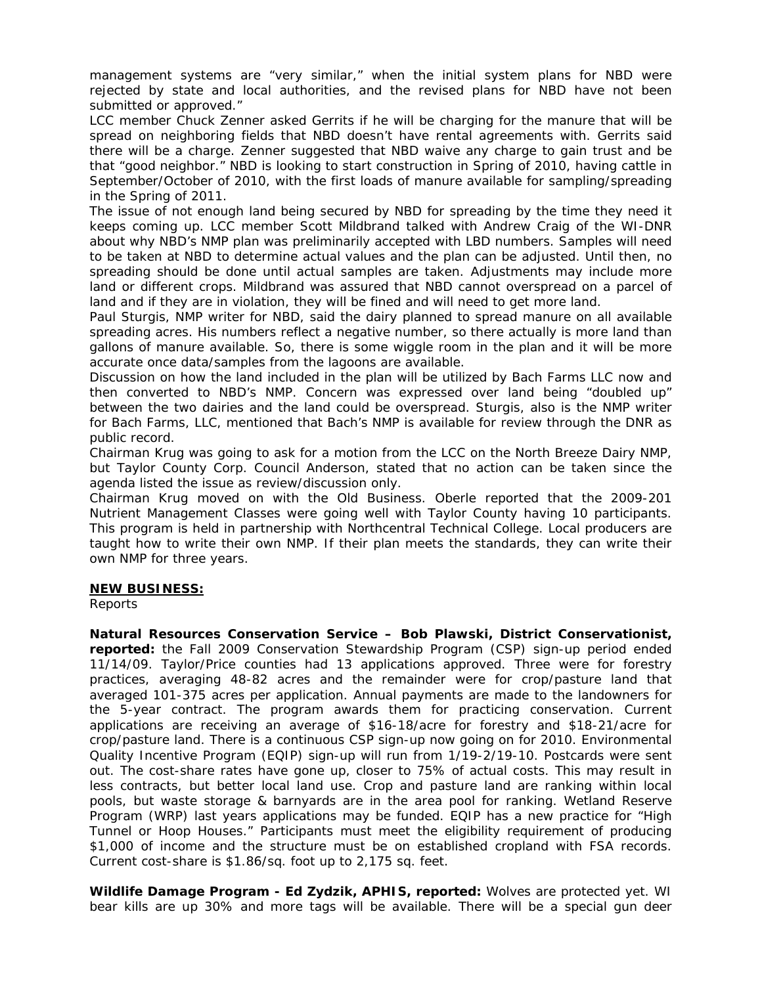management systems are "very similar," when the initial system plans for NBD were rejected by state and local authorities, and the revised plans for NBD have not been submitted or approved."

LCC member Chuck Zenner asked Gerrits if he will be charging for the manure that will be spread on neighboring fields that NBD doesn't have rental agreements with. Gerrits said there will be a charge. Zenner suggested that NBD waive any charge to gain trust and be that "good neighbor." NBD is looking to start construction in Spring of 2010, having cattle in September/October of 2010, with the first loads of manure available for sampling/spreading in the Spring of 2011.

The issue of not enough land being secured by NBD for spreading by the time they need it keeps coming up. LCC member Scott Mildbrand talked with Andrew Craig of the WI-DNR about why NBD's NMP plan was preliminarily accepted with LBD numbers. Samples will need to be taken at NBD to determine actual values and the plan can be adjusted. Until then, no spreading should be done until actual samples are taken. Adjustments may include more land or different crops. Mildbrand was assured that NBD cannot overspread on a parcel of land and if they are in violation, they will be fined and will need to get more land.

Paul Sturgis, NMP writer for NBD, said the dairy planned to spread manure on all available spreading acres. His numbers reflect a negative number, so there actually is more land than gallons of manure available. So, there is some wiggle room in the plan and it will be more accurate once data/samples from the lagoons are available.

Discussion on how the land included in the plan will be utilized by Bach Farms LLC now and then converted to NBD's NMP. Concern was expressed over land being "doubled up" between the two dairies and the land could be overspread. Sturgis, also is the NMP writer for Bach Farms, LLC, mentioned that Bach's NMP is available for review through the DNR as public record.

Chairman Krug was going to ask for a motion from the LCC on the North Breeze Dairy NMP, but Taylor County Corp. Council Anderson, stated that no action can be taken since the agenda listed the issue as review/discussion only.

Chairman Krug moved on with the Old Business. Oberle reported that the 2009-201 Nutrient Management Classes were going well with Taylor County having 10 participants. This program is held in partnership with Northcentral Technical College. Local producers are taught how to write their own NMP. If their plan meets the standards, they can write their own NMP for three years.

## **NEW BUSINESS:**

Reports

**Natural Resources Conservation Service – Bob Plawski, District Conservationist, reported:** the Fall 2009 Conservation Stewardship Program (CSP) sign-up period ended 11/14/09. Taylor/Price counties had 13 applications approved. Three were for forestry practices, averaging 48-82 acres and the remainder were for crop/pasture land that averaged 101-375 acres per application. Annual payments are made to the landowners for the 5-year contract. The program awards them for practicing conservation. Current applications are receiving an average of \$16-18/acre for forestry and \$18-21/acre for crop/pasture land. There is a continuous CSP sign-up now going on for 2010. Environmental Quality Incentive Program (EQIP) sign-up will run from 1/19-2/19-10. Postcards were sent out. The cost-share rates have gone up, closer to 75% of actual costs. This may result in less contracts, but better local land use. Crop and pasture land are ranking within local pools, but waste storage & barnyards are in the area pool for ranking. Wetland Reserve Program (WRP) last years applications may be funded. EQIP has a new practice for "High Tunnel or Hoop Houses." Participants must meet the eligibility requirement of producing \$1,000 of income and the structure must be on established cropland with FSA records. Current cost-share is \$1.86/sq. foot up to 2,175 sq. feet.

**Wildlife Damage Program - Ed Zydzik, APHIS, reported:** Wolves are protected yet. WI bear kills are up 30% and more tags will be available. There will be a special gun deer